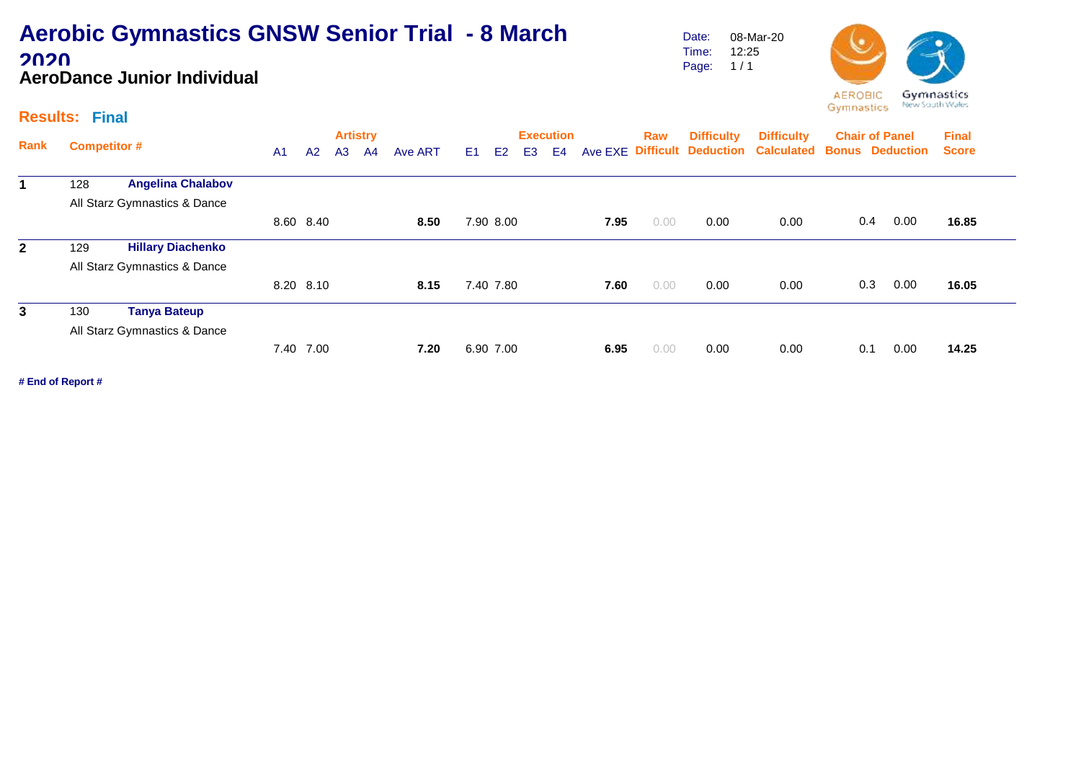### **Aerobic Gymnastics GNSW Senior Trial - 8 March 2020 AeroDance Junior Individual**

Date: Time: Page: 1 / 1 08-Mar-20 12:25



#### **Results: Final**

| Rank         |                              |                              |                |           |                | <b>Artistry</b> |         |                |                |    | <b>Execution</b> |         | Raw  | <b>Difficulty</b> | <b>Difficulty</b>                              |     | <b>Chair of Panel</b> | <b>Final</b> |  |
|--------------|------------------------------|------------------------------|----------------|-----------|----------------|-----------------|---------|----------------|----------------|----|------------------|---------|------|-------------------|------------------------------------------------|-----|-----------------------|--------------|--|
|              | <b>Competitor #</b>          |                              | A <sub>1</sub> | A2        | A <sub>3</sub> | A4              | Ave ART | E <sub>1</sub> | E <sub>2</sub> | E3 | E4               | Ave EXE |      |                   | Difficult Deduction Calculated Bonus Deduction |     |                       | <b>Score</b> |  |
|              | 128                          | <b>Angelina Chalabov</b>     |                |           |                |                 |         |                |                |    |                  |         |      |                   |                                                |     |                       |              |  |
|              | All Starz Gymnastics & Dance |                              |                |           |                |                 |         |                |                |    |                  |         |      |                   |                                                |     |                       |              |  |
|              |                              |                              |                | 8.60 8.40 |                |                 | 8.50    |                | 7.90 8.00      |    |                  | 7.95    | 0.00 | 0.00              | 0.00                                           | 0.4 | 0.00                  | 16.85        |  |
| $\mathbf{2}$ | 129                          | <b>Hillary Diachenko</b>     |                |           |                |                 |         |                |                |    |                  |         |      |                   |                                                |     |                       |              |  |
|              |                              | All Starz Gymnastics & Dance |                |           |                |                 |         |                |                |    |                  |         |      |                   |                                                |     |                       |              |  |
|              |                              |                              |                | 8.20 8.10 |                |                 | 8.15    |                | 7.40 7.80      |    |                  | 7.60    | 0.00 | 0.00              | 0.00                                           | 0.3 | 0.00                  | 16.05        |  |
| 3            | 130                          | <b>Tanya Bateup</b>          |                |           |                |                 |         |                |                |    |                  |         |      |                   |                                                |     |                       |              |  |
|              |                              | All Starz Gymnastics & Dance |                |           |                |                 |         |                |                |    |                  |         |      |                   |                                                |     |                       |              |  |
|              |                              |                              | 7.40           | 7.00      |                |                 | 7.20    |                | 6.90 7.00      |    |                  | 6.95    | 0.00 | 0.00              | 0.00                                           | 0.1 | 0.00                  | 14.25        |  |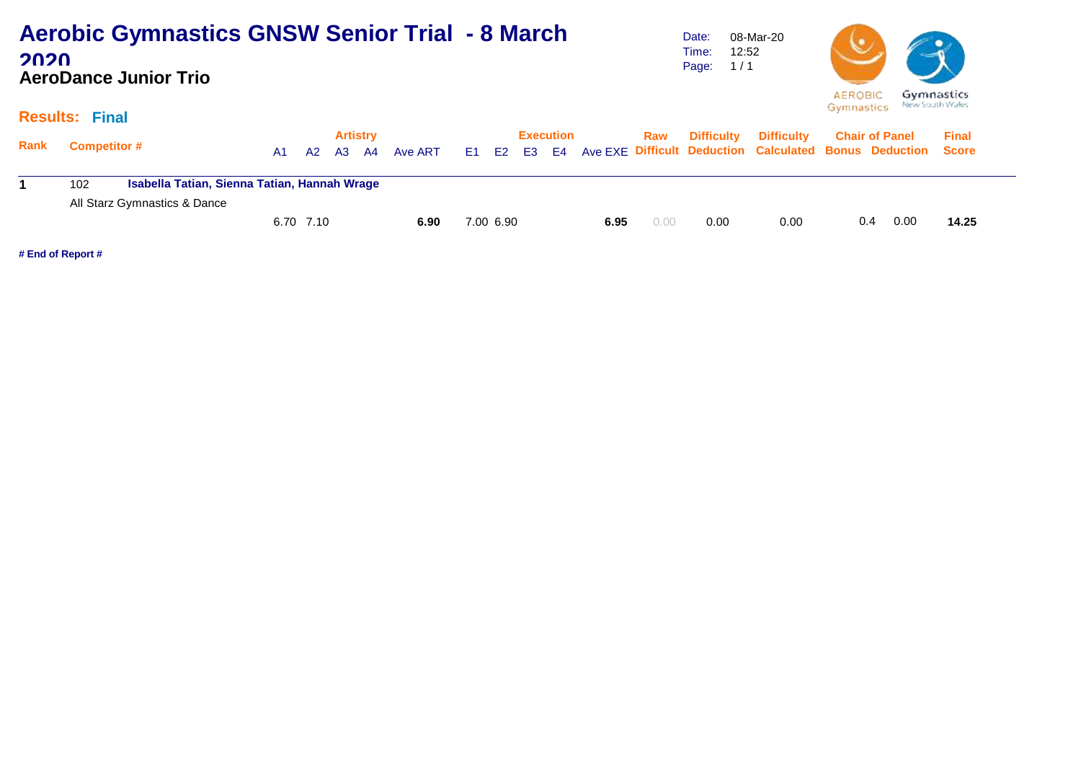| <b>Aerobic Gymnastics GNSW Senior Trial - 8 March</b> |  |
|-------------------------------------------------------|--|
| 2020                                                  |  |
| <b>AeroDance Junior Trio</b>                          |  |

Date: Time: 12:52 Page: 1 / 1 08-Mar-20



#### **Results: Final**

|      |                                                     |                              |     |           | <b>Artistry</b> |         |           | <b>Execution</b> |      | Raw  | <b>Difficulty</b> | Difficulty Chair of Panel                                                |     |      | <b>Final</b> |
|------|-----------------------------------------------------|------------------------------|-----|-----------|-----------------|---------|-----------|------------------|------|------|-------------------|--------------------------------------------------------------------------|-----|------|--------------|
| Rank | <b>Competitor #</b>                                 |                              | A1. | A2        | A3 A4           | Ave ART |           |                  |      |      |                   | E1 E2 E3 E4 Ave EXE Difficult Deduction Calculated Bonus Deduction Score |     |      |              |
|      | Isabella Tatian, Sienna Tatian, Hannah Wrage<br>102 |                              |     |           |                 |         |           |                  |      |      |                   |                                                                          |     |      |              |
|      |                                                     | All Starz Gymnastics & Dance |     |           |                 |         |           |                  |      |      |                   |                                                                          |     |      |              |
|      |                                                     |                              |     | 6.70 7.10 |                 | 6.90    | 7.00 6.90 |                  | 6.95 | 0.00 | 0.00              | 0.00                                                                     | 0.4 | 0.00 | 14.25        |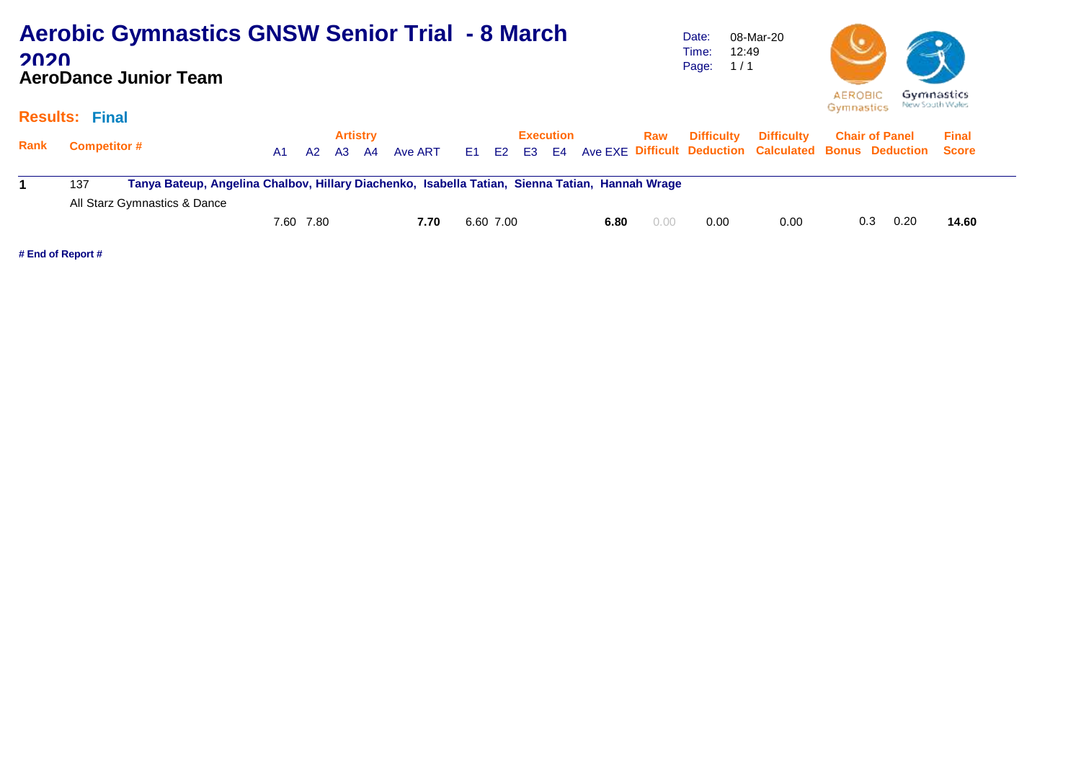| 2020        | <b>Aerobic Gymnastics GNSW Senior Trial - 8 March</b><br><b>AeroDance Junior Team</b>                  |                |                |                |                 |         |                |           |                |                  |      |      | Date:<br>12:49<br>Time:<br>1/1<br>Page: | 08-Mar-20                                              | <b>AEROBIC</b> |                       | Gymnastics      |
|-------------|--------------------------------------------------------------------------------------------------------|----------------|----------------|----------------|-----------------|---------|----------------|-----------|----------------|------------------|------|------|-----------------------------------------|--------------------------------------------------------|----------------|-----------------------|-----------------|
|             | <b>Results: Final</b>                                                                                  |                |                |                |                 |         |                |           |                |                  |      |      |                                         |                                                        | Gymnastics     |                       | New South Wales |
|             |                                                                                                        |                |                |                | <b>Artistry</b> |         |                |           |                | <b>Execution</b> |      | Raw  | <b>Difficulty</b>                       | <b>Difficulty</b>                                      |                | <b>Chair of Panel</b> | <b>Final</b>    |
| <b>Rank</b> | <b>Competitor #</b>                                                                                    | A <sub>1</sub> | A <sub>2</sub> | A <sub>3</sub> | A4              | Ave ART | E <sub>1</sub> | E2        | E <sub>3</sub> | E <sub>4</sub>   |      |      |                                         | Ave EXE Difficult Deduction Calculated Bonus Deduction |                |                       | <b>Score</b>    |
|             | 137<br>Tanya Bateup, Angelina Chalbov, Hillary Diachenko, Isabella Tatian, Sienna Tatian, Hannah Wrage |                |                |                |                 |         |                |           |                |                  |      |      |                                         |                                                        |                |                       |                 |
|             | All Starz Gymnastics & Dance                                                                           |                |                |                |                 |         |                |           |                |                  |      |      |                                         |                                                        |                |                       |                 |
|             |                                                                                                        | 7.60           | 7.80           |                |                 | 7.70    |                | 6.60 7.00 |                |                  | 6.80 | 0.00 | 0.00                                    | 0.00                                                   | 0.3            | 0.20                  | 14.60           |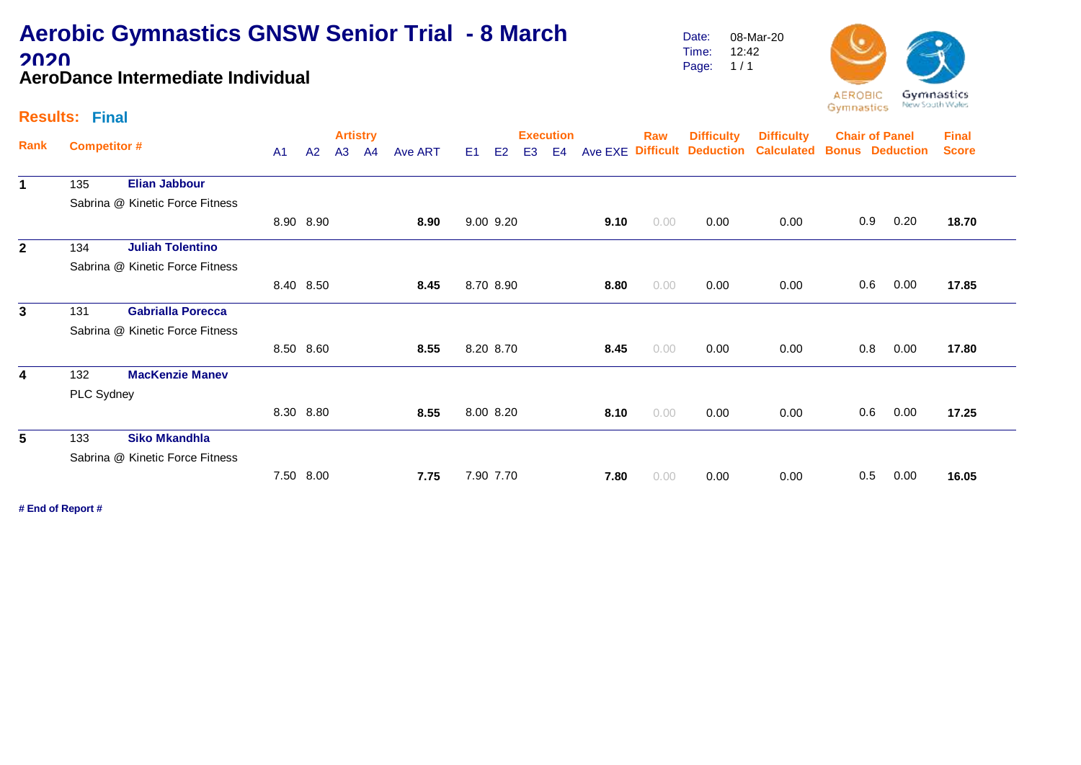### **Aerobic Gymnastics GNSW Senior Trial - 8 March 2020 AeroDance Intermediate Individual**

Date: Time: Page: 1 / 1 08-Mar-20 12:42



#### **Results: Final**

| Rank                    |                     |                                 |                |           |    | <b>Artistry</b> |         |                |                |                | <b>Execution</b> |         | Raw  | <b>Difficulty</b>          | <b>Difficulty</b> |     | <b>Chair of Panel</b>  | <b>Final</b> |
|-------------------------|---------------------|---------------------------------|----------------|-----------|----|-----------------|---------|----------------|----------------|----------------|------------------|---------|------|----------------------------|-------------------|-----|------------------------|--------------|
|                         | <b>Competitor #</b> |                                 | A <sub>1</sub> | A2        | A3 | A <sup>4</sup>  | Ave ART | E <sub>1</sub> | E <sub>2</sub> | E <sub>3</sub> | E4               | Ave EXE |      | <b>Difficult Deduction</b> | <b>Calculated</b> |     | <b>Bonus Deduction</b> | <b>Score</b> |
| $\mathbf 1$             | 135                 | <b>Elian Jabbour</b>            |                |           |    |                 |         |                |                |                |                  |         |      |                            |                   |     |                        |              |
|                         |                     | Sabrina @ Kinetic Force Fitness |                |           |    |                 |         |                |                |                |                  |         |      |                            |                   |     |                        |              |
|                         |                     |                                 |                | 8.90 8.90 |    |                 | 8.90    |                | 9.00 9.20      |                |                  | 9.10    | 0.00 | 0.00                       | 0.00              | 0.9 | 0.20                   | 18.70        |
| $\mathbf{2}$            | 134                 | <b>Juliah Tolentino</b>         |                |           |    |                 |         |                |                |                |                  |         |      |                            |                   |     |                        |              |
|                         |                     | Sabrina @ Kinetic Force Fitness |                |           |    |                 |         |                |                |                |                  |         |      |                            |                   |     |                        |              |
|                         |                     |                                 |                | 8.40 8.50 |    |                 | 8.45    |                | 8.70 8.90      |                |                  | 8.80    | 0.00 | 0.00                       | 0.00              | 0.6 | 0.00                   | 17.85        |
| $\mathbf{3}$            | 131                 | <b>Gabrialla Porecca</b>        |                |           |    |                 |         |                |                |                |                  |         |      |                            |                   |     |                        |              |
|                         |                     | Sabrina @ Kinetic Force Fitness |                |           |    |                 |         |                |                |                |                  |         |      |                            |                   |     |                        |              |
|                         |                     |                                 |                | 8.50 8.60 |    |                 | 8.55    |                | 8.20 8.70      |                |                  | 8.45    | 0.00 | 0.00                       | 0.00              | 0.8 | 0.00                   | 17.80        |
| $\overline{\mathbf{4}}$ | 132                 | <b>MacKenzie Manev</b>          |                |           |    |                 |         |                |                |                |                  |         |      |                            |                   |     |                        |              |
|                         | PLC Sydney          |                                 |                |           |    |                 |         |                |                |                |                  |         |      |                            |                   |     |                        |              |
|                         |                     |                                 |                | 8.30 8.80 |    |                 | 8.55    |                | 8.00 8.20      |                |                  | 8.10    | 0.00 | 0.00                       | 0.00              | 0.6 | 0.00                   | 17.25        |
| 5                       | 133                 | <b>Siko Mkandhla</b>            |                |           |    |                 |         |                |                |                |                  |         |      |                            |                   |     |                        |              |
|                         |                     | Sabrina @ Kinetic Force Fitness |                |           |    |                 |         |                |                |                |                  |         |      |                            |                   |     |                        |              |
|                         |                     |                                 |                | 7.50 8.00 |    |                 | 7.75    |                | 7.90 7.70      |                |                  | 7.80    | 0.00 | 0.00                       | 0.00              | 0.5 | 0.00                   | 16.05        |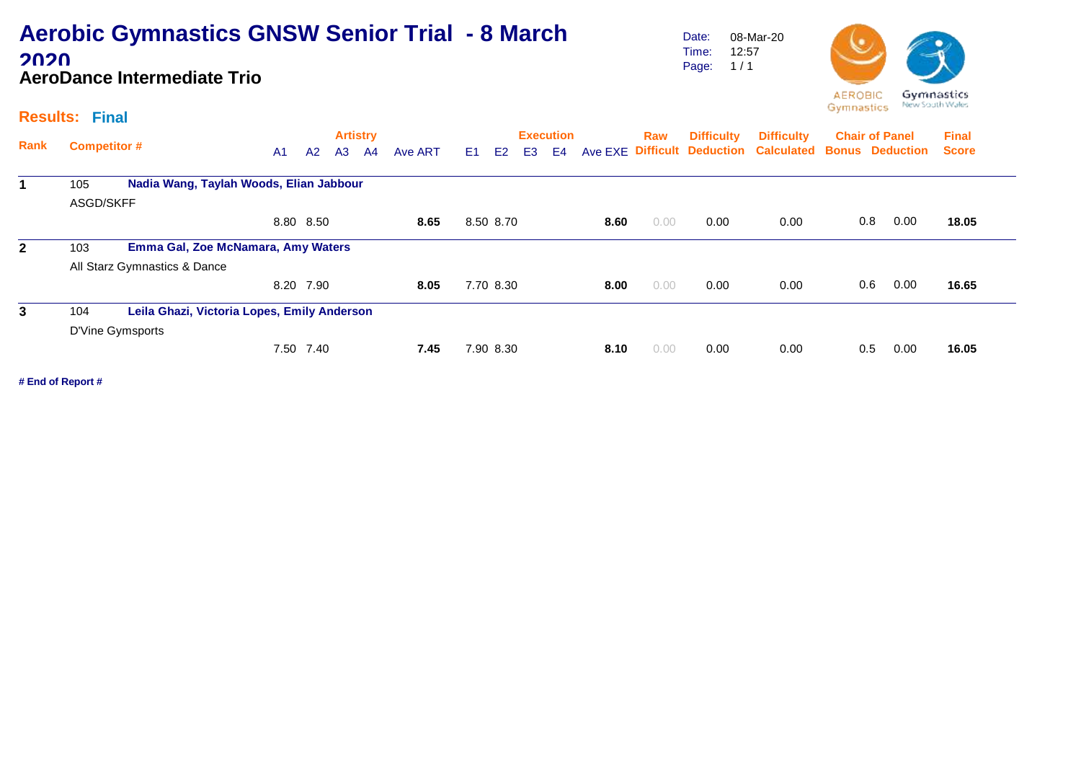### **Aerobic Gymnastics GNSW Senior Trial - 8 March 2020 AeroDance Intermediate Trio**

Date: Time: Page: 1 / 1 08-Mar-20 12:57



#### **Results: Final**

|              |                     |                                             |                |           | <b>Artistry</b> |    |         |    |           |                | <b>Execution</b> |      | Raw  | <b>Difficulty</b> | <b>Difficulty</b>                                      |     | <b>Chair of Panel</b> | <b>Final</b> |
|--------------|---------------------|---------------------------------------------|----------------|-----------|-----------------|----|---------|----|-----------|----------------|------------------|------|------|-------------------|--------------------------------------------------------|-----|-----------------------|--------------|
| Rank         | <b>Competitor #</b> |                                             | A <sub>1</sub> | A2        | A <sub>3</sub>  | A4 | Ave ART | E1 | E2        | E <sub>3</sub> | E <sub>4</sub>   |      |      |                   | Ave EXE Difficult Deduction Calculated Bonus Deduction |     |                       | <b>Score</b> |
|              | 105                 | Nadia Wang, Taylah Woods, Elian Jabbour     |                |           |                 |    |         |    |           |                |                  |      |      |                   |                                                        |     |                       |              |
|              | ASGD/SKFF           |                                             |                |           |                 |    |         |    |           |                |                  |      |      |                   |                                                        |     |                       |              |
|              |                     |                                             |                | 8.80 8.50 |                 |    | 8.65    |    | 8.50 8.70 |                |                  | 8.60 | 0.00 | 0.00              | 0.00                                                   | 0.8 | 0.00                  | 18.05        |
| $\mathbf{2}$ | 103                 | Emma Gal, Zoe McNamara, Amy Waters          |                |           |                 |    |         |    |           |                |                  |      |      |                   |                                                        |     |                       |              |
|              |                     | All Starz Gymnastics & Dance                |                |           |                 |    |         |    |           |                |                  |      |      |                   |                                                        |     |                       |              |
|              |                     |                                             |                | 8.20 7.90 |                 |    | 8.05    |    | 7.70 8.30 |                |                  | 8.00 | 0.00 | 0.00              | 0.00                                                   | 0.6 | 0.00                  | 16.65        |
| 3            | 104                 | Leila Ghazi, Victoria Lopes, Emily Anderson |                |           |                 |    |         |    |           |                |                  |      |      |                   |                                                        |     |                       |              |
|              |                     | D'Vine Gymsports                            |                |           |                 |    |         |    |           |                |                  |      |      |                   |                                                        |     |                       |              |
|              |                     |                                             |                | 7.50 7.40 |                 |    | 7.45    |    | 7.90 8.30 |                |                  | 8.10 | 0.00 | 0.00              | 0.00                                                   | 0.5 | 0.00                  | 16.05        |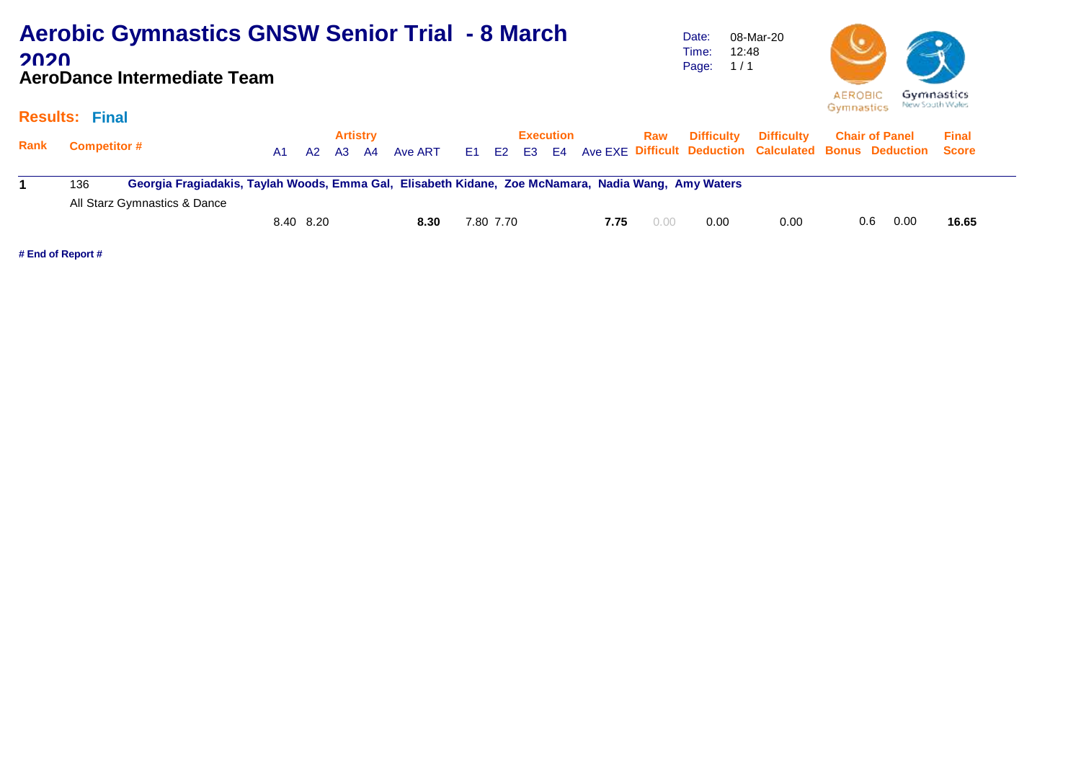#### **Aerobic Gymnastics GNSW Senior Trial - 8 March**  Date: 08-Mar-20 12:48 Time: **2020** Page: 1 / 1 **AeroDance Intermediate Team AEROBIC**



#### **Results: Final**

| Rank | <b>Competitor #</b> |                                                                                                     | A1 | A2        | <b>Artistry</b><br>A3 | - A4 | Ave ART |           | <b>Execution</b> |      | Raw  | Difficulty | <b>Difficulty</b><br>E1 E2 E3 E4 Ave EXE Difficult Deduction Calculated Bonus Deduction Score |     | <b>Chair of Panel</b> | <b>Final</b> |
|------|---------------------|-----------------------------------------------------------------------------------------------------|----|-----------|-----------------------|------|---------|-----------|------------------|------|------|------------|-----------------------------------------------------------------------------------------------|-----|-----------------------|--------------|
|      | 136                 | Georgia Fragiadakis, Taylah Woods, Emma Gal, Elisabeth Kidane, Zoe McNamara, Nadia Wang, Amy Waters |    |           |                       |      |         |           |                  |      |      |            |                                                                                               |     |                       |              |
|      |                     | All Starz Gymnastics & Dance                                                                        |    |           |                       |      |         |           |                  |      |      |            |                                                                                               |     |                       |              |
|      |                     |                                                                                                     |    | 8.40 8.20 |                       |      | 8.30    | 7.80 7.70 |                  | 7.75 | 0.00 | 0.00       | 0.00                                                                                          | 0.6 | 0.00                  | 16.65        |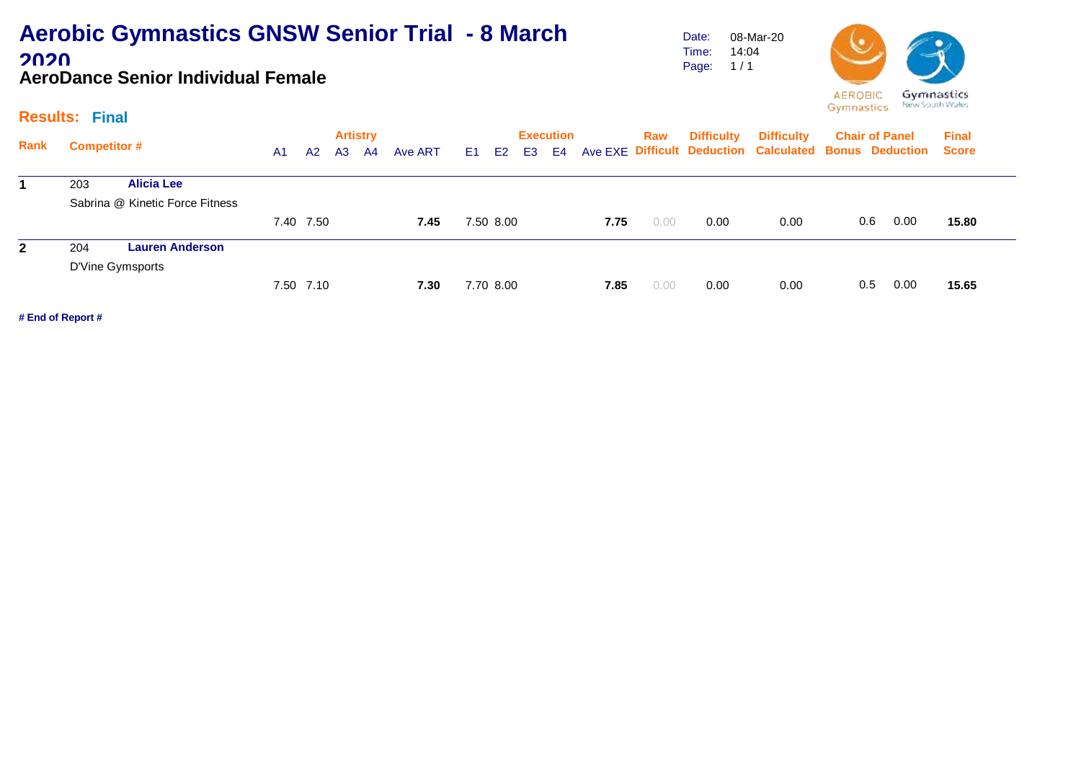### **Aerobic Gymnastics GNSW Senior Trial - 8 March 2020 AeroDance Senior Individual Female**

Date: Time: Page: 08-Mar-20 14:04  $1/1$ 



#### **Results: Final**

|              |                                 |                        |    |           | <b>Artistry</b> |    |         |      |                |                | <b>Execution</b> |      | Raw  | <b>Difficulty</b> | <b>Difficulty</b>                                            |     | <b>Chair of Panel</b> | <b>Final</b> |
|--------------|---------------------------------|------------------------|----|-----------|-----------------|----|---------|------|----------------|----------------|------------------|------|------|-------------------|--------------------------------------------------------------|-----|-----------------------|--------------|
| Rank         | <b>Competitor #</b>             |                        | A1 | A2        | A3              | A4 | Ave ART | E1 = | E <sub>2</sub> | E <sub>3</sub> | E4               |      |      |                   | Ave EXE Difficult Deduction Calculated Bonus Deduction Score |     |                       |              |
|              | 203                             | <b>Alicia Lee</b>      |    |           |                 |    |         |      |                |                |                  |      |      |                   |                                                              |     |                       |              |
|              | Sabrina @ Kinetic Force Fitness |                        |    |           |                 |    |         |      |                |                |                  |      |      |                   |                                                              |     |                       |              |
|              |                                 |                        |    | 7.40 7.50 |                 |    | 7.45    |      | 7.50 8.00      |                |                  | 7.75 | 0.00 | 0.00              | 0.00                                                         | 0.6 | 0.00                  | 15.80        |
| $\mathbf{2}$ | 204                             | <b>Lauren Anderson</b> |    |           |                 |    |         |      |                |                |                  |      |      |                   |                                                              |     |                       |              |
|              |                                 |                        |    |           |                 |    |         |      |                |                |                  |      |      |                   |                                                              |     |                       |              |
|              | D'Vine Gymsports                |                        |    | 7.50 7.10 |                 |    | 7.30    |      | 7.70 8.00      |                |                  | 7.85 | 0.00 | 0.00              | 0.00                                                         | 0.5 | 0.00                  | 15.65        |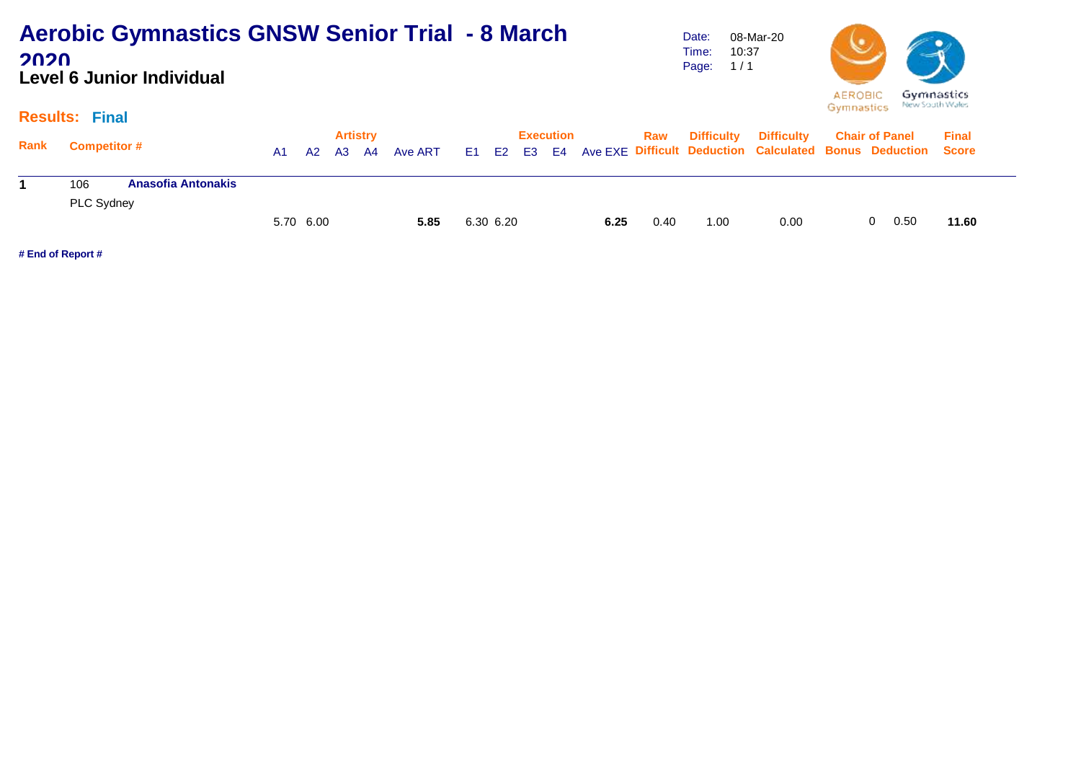### **Aerobic Gymnastics GNSW Senior Trial - 8 March 2020 Level 6 Junior Individual**

Date: Time: Page: 1 / 1 08-Mar-20 10:37



#### **Results: Final**

|      |                                  |           |    | <b>Artistry</b> |         |           | Execution |      | Raw  | <b>Difficulty</b> | <b>Difficulty</b>                                                        | <b>Chair of Panel</b> | <b>Final</b> |  |
|------|----------------------------------|-----------|----|-----------------|---------|-----------|-----------|------|------|-------------------|--------------------------------------------------------------------------|-----------------------|--------------|--|
| Rank | <b>Competitor #</b>              | A1.       | A2 | A3 A4           | Ave ART |           |           |      |      |                   | E1 E2 E3 E4 Ave EXE Difficult Deduction Calculated Bonus Deduction Score |                       |              |  |
|      |                                  |           |    |                 |         |           |           |      |      |                   |                                                                          |                       |              |  |
|      | 106<br><b>Anasofia Antonakis</b> |           |    |                 |         |           |           |      |      |                   |                                                                          |                       |              |  |
|      | PLC Sydney                       |           |    |                 |         |           |           |      |      |                   |                                                                          |                       |              |  |
|      |                                  | 5.70 6.00 |    |                 | 5.85    | 6.30 6.20 |           | 6.25 | 0.40 | 1.00              | 0.00                                                                     | 0.50                  | 11.60        |  |
|      |                                  |           |    |                 |         |           |           |      |      |                   |                                                                          |                       |              |  |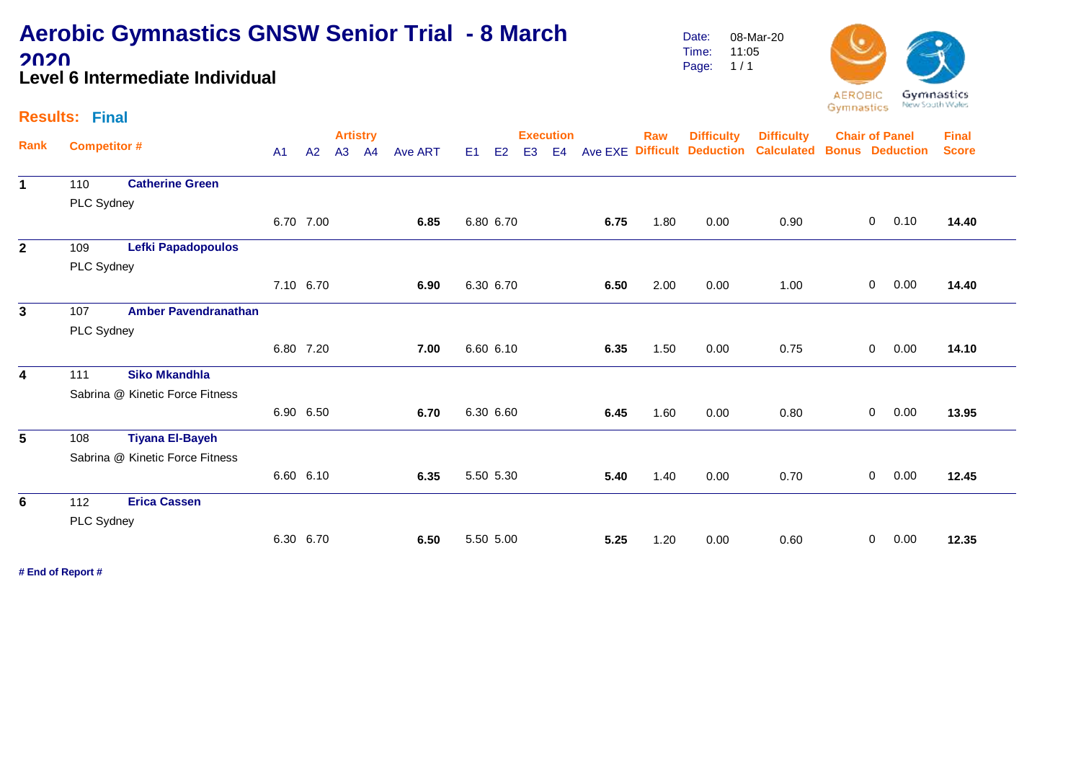### **Aerobic Gymnastics GNSW Senior Trial - 8 March 2020 Level 6 Intermediate Individual**

Date: Time: Page: 08-Mar-20 11:05  $1/1$ 



#### **Results: Final**

|                |                     |                                 |                |           | <b>Artistry</b> |         |                |                                  | <b>Execution</b> |                |      | Raw  | <b>Difficulty</b>           | <b>Difficulty</b> | <b>Chair of Panel</b>  |                |      | <b>Final</b> |
|----------------|---------------------|---------------------------------|----------------|-----------|-----------------|---------|----------------|----------------------------------|------------------|----------------|------|------|-----------------------------|-------------------|------------------------|----------------|------|--------------|
| Rank           | <b>Competitor #</b> |                                 | A <sub>1</sub> | A2        | A3 A4           | Ave ART | E <sub>1</sub> | E <sub>2</sub><br>E <sub>3</sub> |                  | E <sub>4</sub> |      |      | Ave EXE Difficult Deduction | <b>Calculated</b> | <b>Bonus Deduction</b> |                |      | <b>Score</b> |
| $\mathbf{1}$   | 110                 | <b>Catherine Green</b>          |                |           |                 |         |                |                                  |                  |                |      |      |                             |                   |                        |                |      |              |
|                | PLC Sydney          |                                 |                |           |                 |         |                |                                  |                  |                |      |      |                             |                   |                        |                |      |              |
|                |                     |                                 |                | 6.70 7.00 |                 | 6.85    |                | 6.80 6.70                        |                  |                | 6.75 | 1.80 | 0.00                        | 0.90              |                        | $\overline{0}$ | 0.10 | 14.40        |
| $\overline{2}$ | 109                 | Lefki Papadopoulos              |                |           |                 |         |                |                                  |                  |                |      |      |                             |                   |                        |                |      |              |
|                | PLC Sydney          |                                 |                |           |                 |         |                |                                  |                  |                |      |      |                             |                   |                        |                |      |              |
|                |                     |                                 |                | 7.10 6.70 |                 | 6.90    |                | 6.30 6.70                        |                  |                | 6.50 | 2.00 | 0.00                        | 1.00              |                        | $\overline{0}$ | 0.00 | 14.40        |
| 3              | 107                 | <b>Amber Pavendranathan</b>     |                |           |                 |         |                |                                  |                  |                |      |      |                             |                   |                        |                |      |              |
|                | PLC Sydney          |                                 |                |           |                 |         |                |                                  |                  |                |      |      |                             |                   |                        |                |      |              |
|                |                     |                                 |                | 6.80 7.20 |                 | 7.00    | 6.60 6.10      |                                  |                  |                | 6.35 | 1.50 | 0.00                        | 0.75              |                        | $\overline{0}$ | 0.00 | 14.10        |
| 4              | 111                 | <b>Siko Mkandhla</b>            |                |           |                 |         |                |                                  |                  |                |      |      |                             |                   |                        |                |      |              |
|                |                     | Sabrina @ Kinetic Force Fitness |                |           |                 |         |                |                                  |                  |                |      |      |                             |                   |                        |                |      |              |
|                |                     |                                 |                | 6.90 6.50 |                 | 6.70    | 6.30 6.60      |                                  |                  |                | 6.45 | 1.60 | 0.00                        | 0.80              |                        | $\mathbf 0$    | 0.00 | 13.95        |
| 5              | 108                 | <b>Tiyana El-Bayeh</b>          |                |           |                 |         |                |                                  |                  |                |      |      |                             |                   |                        |                |      |              |
|                |                     | Sabrina @ Kinetic Force Fitness |                |           |                 |         |                |                                  |                  |                |      |      |                             |                   |                        |                |      |              |
|                |                     |                                 |                | 6.60 6.10 |                 | 6.35    | 5.50 5.30      |                                  |                  |                | 5.40 | 1.40 | 0.00                        | 0.70              |                        | $\overline{0}$ | 0.00 | 12.45        |
| 6              | 112                 | <b>Erica Cassen</b>             |                |           |                 |         |                |                                  |                  |                |      |      |                             |                   |                        |                |      |              |
|                | PLC Sydney          |                                 |                |           |                 |         |                |                                  |                  |                |      |      |                             |                   |                        |                |      |              |
|                |                     |                                 |                | 6.30 6.70 |                 | 6.50    | 5.50 5.00      |                                  |                  |                | 5.25 | 1.20 | 0.00                        | 0.60              |                        | $\mathbf{0}$   | 0.00 | 12.35        |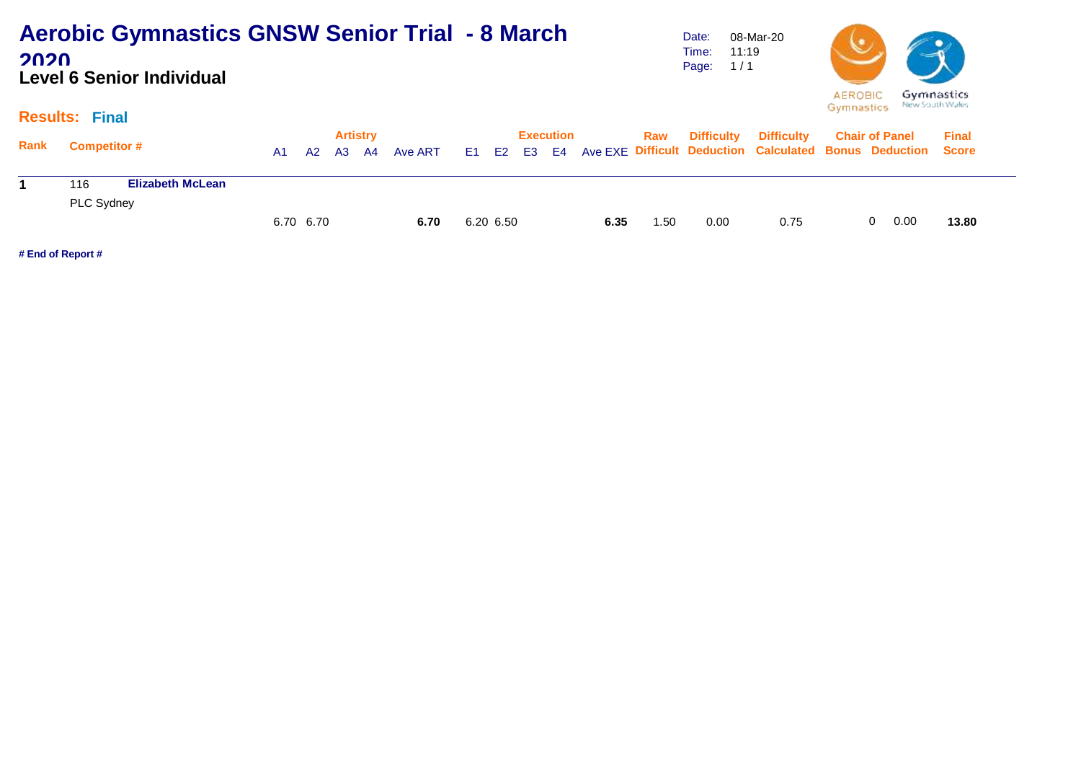### **Aerobic Gymnastics GNSW Senior Trial - 8 March 2020 Level 6 Senior Individual**

Date: Time: Page: 08-Mar-20 11:19  $1/1$ 



#### **Results: Final**

|      |                                |           |           | <b>Artistry</b> |               |           | Execution |      | Raw  | <b>Difficulty</b> | <b>Difficulty</b>                                                        | <b>Chair of Panel</b> | <b>Final</b> |  |
|------|--------------------------------|-----------|-----------|-----------------|---------------|-----------|-----------|------|------|-------------------|--------------------------------------------------------------------------|-----------------------|--------------|--|
| Rank | <b>Competitor #</b>            | A1        | <b>A2</b> |                 | A3 A4 Ave ART |           |           |      |      |                   | E1 E2 E3 E4 Ave EXE Difficult Deduction Calculated Bonus Deduction Score |                       |              |  |
|      | 116<br><b>Elizabeth McLean</b> |           |           |                 |               |           |           |      |      |                   |                                                                          |                       |              |  |
|      | PLC Sydney                     |           |           |                 |               |           |           |      |      |                   |                                                                          |                       |              |  |
|      |                                | 6.70 6.70 |           |                 | 6.70          | 6.20 6.50 |           | 6.35 | 1.50 | 0.00              | 0.75                                                                     | 0.00                  | 13.80        |  |
|      |                                |           |           |                 |               |           |           |      |      |                   |                                                                          |                       |              |  |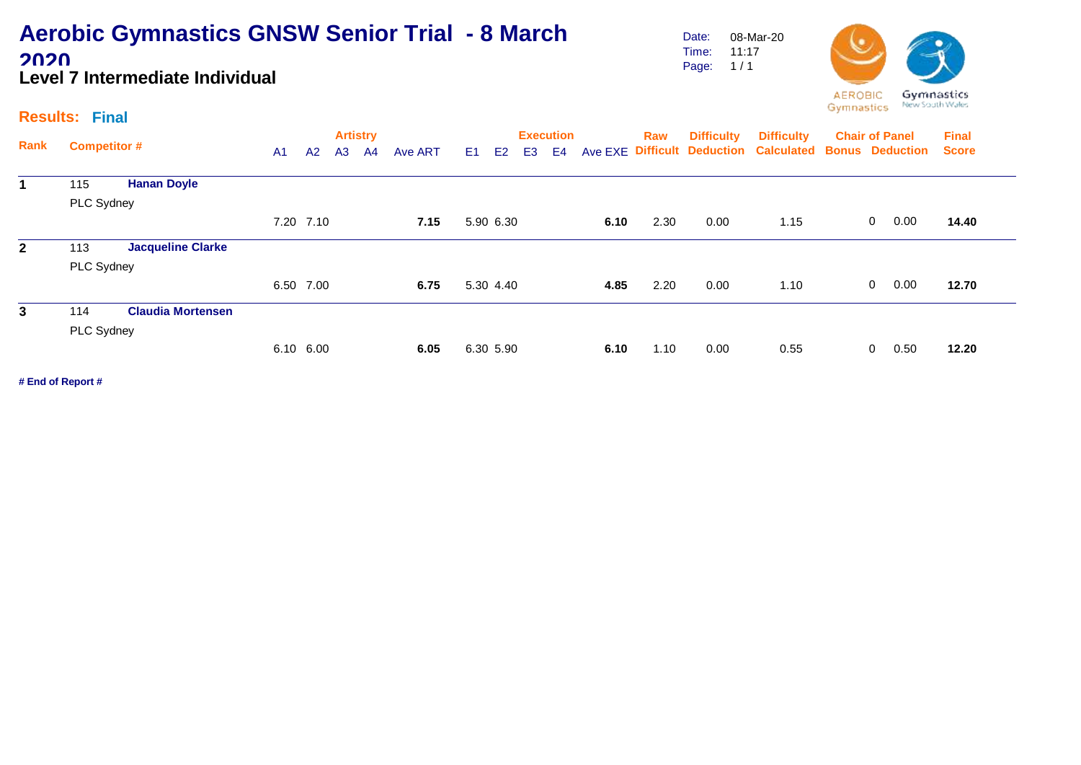### **Aerobic Gymnastics GNSW Senior Trial - 8 March 2020 Level 7 Intermediate Individual**

Date: Time: Page: 1 / 1 08-Mar-20 11:17



#### **Results: Final**

|              |                     |                          |                |           |                | <b>Artistry</b> |         |    |           |                | <b>Execution</b> |      | Raw  | <b>Difficulty</b> | <b>Difficulty</b>                                            | <b>Chair of Panel</b> |                |      | <b>Final</b> |  |
|--------------|---------------------|--------------------------|----------------|-----------|----------------|-----------------|---------|----|-----------|----------------|------------------|------|------|-------------------|--------------------------------------------------------------|-----------------------|----------------|------|--------------|--|
| Rank         | <b>Competitor #</b> |                          | A <sub>1</sub> | A2        | A <sub>3</sub> | A <sup>4</sup>  | Ave ART | E1 | E2        | E <sub>3</sub> | E4               |      |      |                   | Ave EXE Difficult Deduction Calculated Bonus Deduction Score |                       |                |      |              |  |
|              | 115                 | <b>Hanan Doyle</b>       |                |           |                |                 |         |    |           |                |                  |      |      |                   |                                                              |                       |                |      |              |  |
|              | PLC Sydney          |                          |                |           |                |                 |         |    |           |                |                  |      |      |                   |                                                              |                       |                |      |              |  |
|              |                     |                          |                | 7.20 7.10 |                |                 | 7.15    |    | 5.90 6.30 |                |                  | 6.10 | 2.30 | 0.00              | 1.15                                                         |                       | $\overline{0}$ | 0.00 | 14.40        |  |
| $\mathbf{2}$ | 113                 | <b>Jacqueline Clarke</b> |                |           |                |                 |         |    |           |                |                  |      |      |                   |                                                              |                       |                |      |              |  |
|              | PLC Sydney          |                          |                |           |                |                 |         |    |           |                |                  |      |      |                   |                                                              |                       |                |      |              |  |
|              |                     |                          | 6.50 7.00      |           |                |                 | 6.75    |    | 5.30 4.40 |                |                  | 4.85 | 2.20 | 0.00              | 1.10                                                         |                       | $\overline{0}$ | 0.00 | 12.70        |  |
| 3            | 114                 | <b>Claudia Mortensen</b> |                |           |                |                 |         |    |           |                |                  |      |      |                   |                                                              |                       |                |      |              |  |
|              | PLC Sydney          |                          |                |           |                |                 |         |    |           |                |                  |      |      |                   |                                                              |                       |                |      |              |  |
|              |                     |                          |                | 6.10 6.00 |                |                 | 6.05    |    | 6.30 5.90 |                |                  | 6.10 | 1.10 | 0.00              | 0.55                                                         |                       | 0              | 0.50 | 12.20        |  |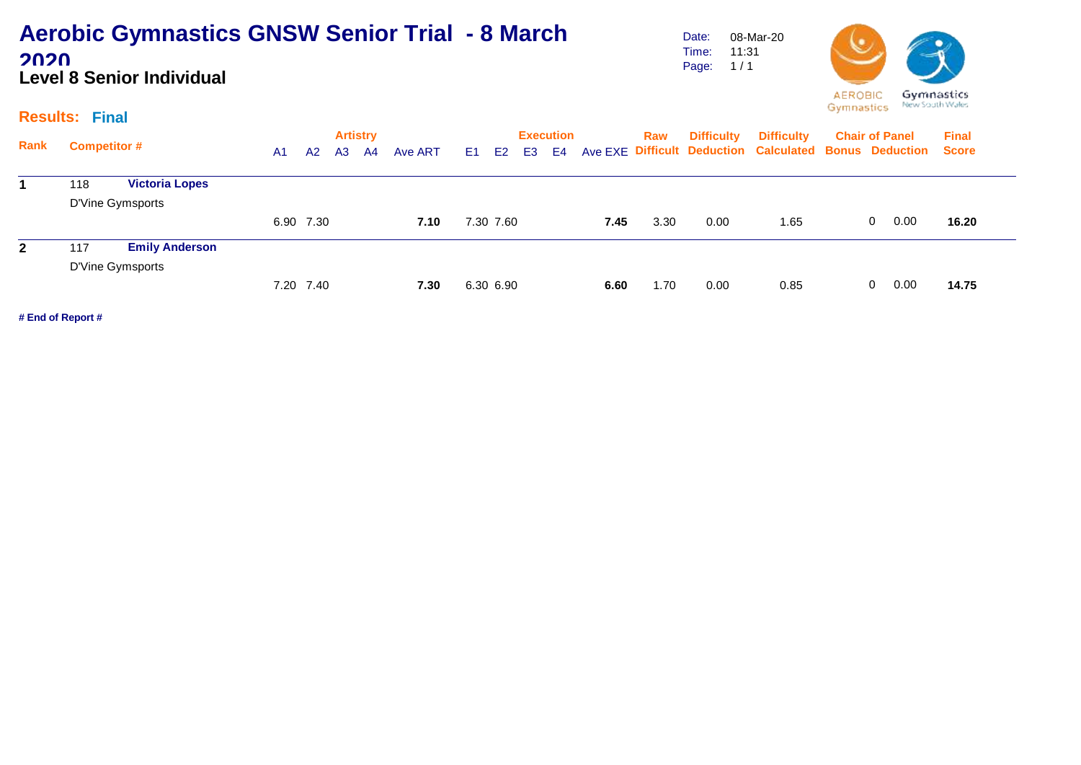### **Aerobic Gymnastics GNSW Senior Trial - 8 March 2020 Level 8 Senior Individual**

Date: Time: Page: 1 / 1 08-Mar-20 11:31



#### **Results: Final**

| Rank         | <b>Competitor #</b> |                       | A1 | A2        | <b>Artistry</b><br>A <sub>3</sub> | A4 | Ave ART | E <sub>1</sub> | E <sub>2</sub> | E <sub>3</sub> | <b>Execution</b><br>E4 |      | Raw  | <b>Difficulty</b> | <b>Difficulty</b><br>Ave EXE Difficult Deduction Calculated Bonus Deduction Score | <b>Chair of Panel</b> | <b>Final</b> |
|--------------|---------------------|-----------------------|----|-----------|-----------------------------------|----|---------|----------------|----------------|----------------|------------------------|------|------|-------------------|-----------------------------------------------------------------------------------|-----------------------|--------------|
|              | 118                 | <b>Victoria Lopes</b> |    |           |                                   |    |         |                |                |                |                        |      |      |                   |                                                                                   |                       |              |
|              |                     | D'Vine Gymsports      |    |           |                                   |    |         |                |                |                |                        |      |      |                   |                                                                                   |                       |              |
|              |                     |                       |    | 6.90 7.30 |                                   |    | 7.10    |                | 7.30 7.60      |                |                        | 7.45 | 3.30 | 0.00              | 1.65                                                                              | 0.00<br>0             | 16.20        |
| $\mathbf{2}$ | 117                 | <b>Emily Anderson</b> |    |           |                                   |    |         |                |                |                |                        |      |      |                   |                                                                                   |                       |              |
|              |                     | D'Vine Gymsports      |    |           |                                   |    |         |                |                |                |                        |      |      |                   |                                                                                   |                       |              |
|              |                     |                       |    | 7.20 7.40 |                                   |    | 7.30    |                | 6.30 6.90      |                |                        | 6.60 | 1.70 | 0.00              | 0.85                                                                              | 0.00<br>$\Omega$      | 14.75        |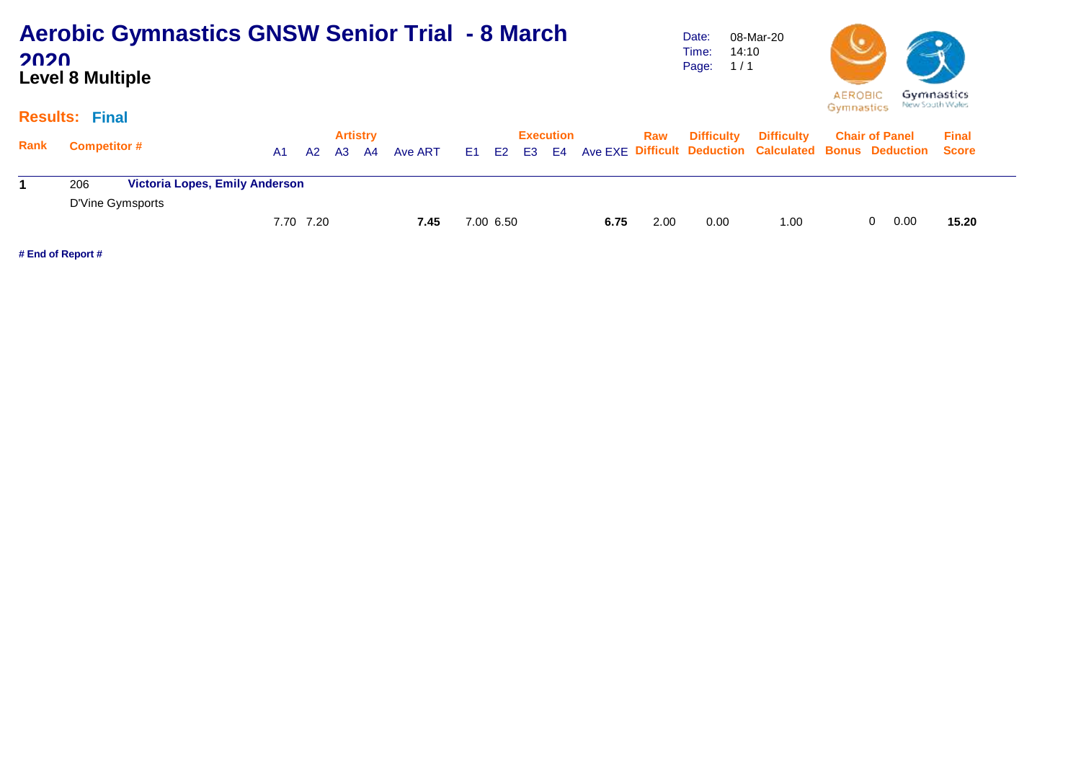| <b>Aerobic Gymnastics GNSW Senior Trial - 8 March</b> |  |
|-------------------------------------------------------|--|
| 2020                                                  |  |
| <b>Level 8 Multiple</b>                               |  |

Date: Time: 14:10 Page: 1 / 1 08-Mar-20



#### **Results: Final**

| <b>Rank</b> | <b>Competitor #</b> |                                       | A1. | <b>A2</b> | <b>Artistry</b><br>A3 A4 | Ave ART |           | Execution |      | Raw  | <b>Difficulty</b> | <b>Difficulty</b><br>E1 E2 E3 E4 Ave EXE Difficult Deduction Calculated Bonus Deduction Score | <b>Chair of Panel</b> |    |      | <b>Final</b> |
|-------------|---------------------|---------------------------------------|-----|-----------|--------------------------|---------|-----------|-----------|------|------|-------------------|-----------------------------------------------------------------------------------------------|-----------------------|----|------|--------------|
|             | 206                 | <b>Victoria Lopes, Emily Anderson</b> |     |           |                          |         |           |           |      |      |                   |                                                                                               |                       |    |      |              |
|             | D'Vine Gymsports    |                                       |     |           |                          |         |           |           |      |      |                   |                                                                                               |                       |    |      |              |
|             |                     |                                       |     | 7.70 7.20 |                          | 7.45    | 7.00 6.50 |           | 6.75 | 2.00 | 0.00              | 1.00                                                                                          |                       | 0. | 0.00 | 15.20        |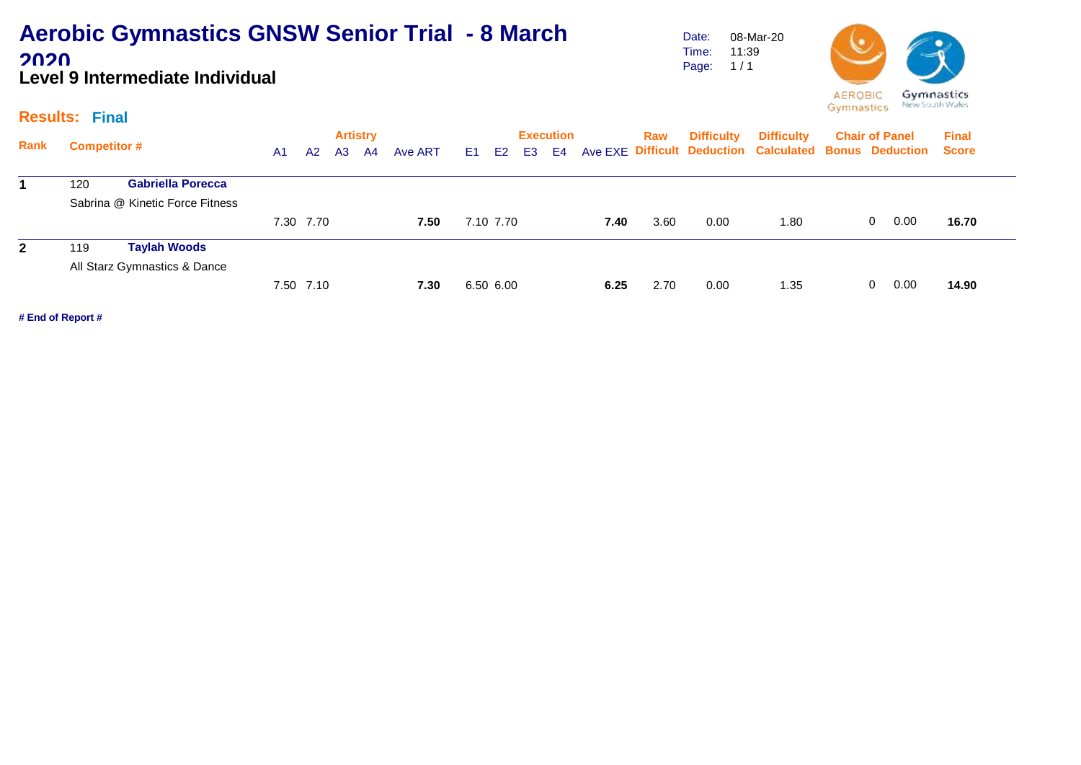### **Aerobic Gymnastics GNSW Senior Trial - 8 March 2020 Level 9 Intermediate Individual**

Date: Time: Page: 08-Mar-20 11:39  $1/1$ 



#### **Results: Final**

|              |                     |                                 |                |           | <b>Artistry</b> |    |         |      |                |    | <b>Execution</b> |      | Raw  | <b>Difficulty</b> | <b>Difficulty</b>                                            | <b>Chair of Panel</b> | <b>Final</b> |
|--------------|---------------------|---------------------------------|----------------|-----------|-----------------|----|---------|------|----------------|----|------------------|------|------|-------------------|--------------------------------------------------------------|-----------------------|--------------|
| Rank         | <b>Competitor #</b> |                                 | A <sub>1</sub> | A2        | A <sub>3</sub>  | A4 | Ave ART | E1 = | E <sub>2</sub> | E3 | E4               |      |      |                   | Ave EXE Difficult Deduction Calculated Bonus Deduction Score |                       |              |
| 1.           | 120                 | <b>Gabriella Porecca</b>        |                |           |                 |    |         |      |                |    |                  |      |      |                   |                                                              |                       |              |
|              |                     | Sabrina @ Kinetic Force Fitness |                |           |                 |    |         |      |                |    |                  |      |      |                   |                                                              |                       |              |
|              |                     |                                 |                | 7.30 7.70 |                 |    | 7.50    |      | 7.10 7.70      |    |                  | 7.40 | 3.60 | 0.00              | 1.80                                                         | 0.00<br>$\mathbf{0}$  | 16.70        |
| $\mathbf{2}$ | 119                 | <b>Taylah Woods</b>             |                |           |                 |    |         |      |                |    |                  |      |      |                   |                                                              |                       |              |
|              |                     | All Starz Gymnastics & Dance    |                |           |                 |    |         |      |                |    |                  |      |      |                   |                                                              |                       |              |
|              |                     |                                 |                | 7.50 7.10 |                 |    | 7.30    |      | 6.50 6.00      |    |                  | 6.25 | 2.70 | 0.00              | 1.35                                                         | 0.00<br>$\Omega$      | 14.90        |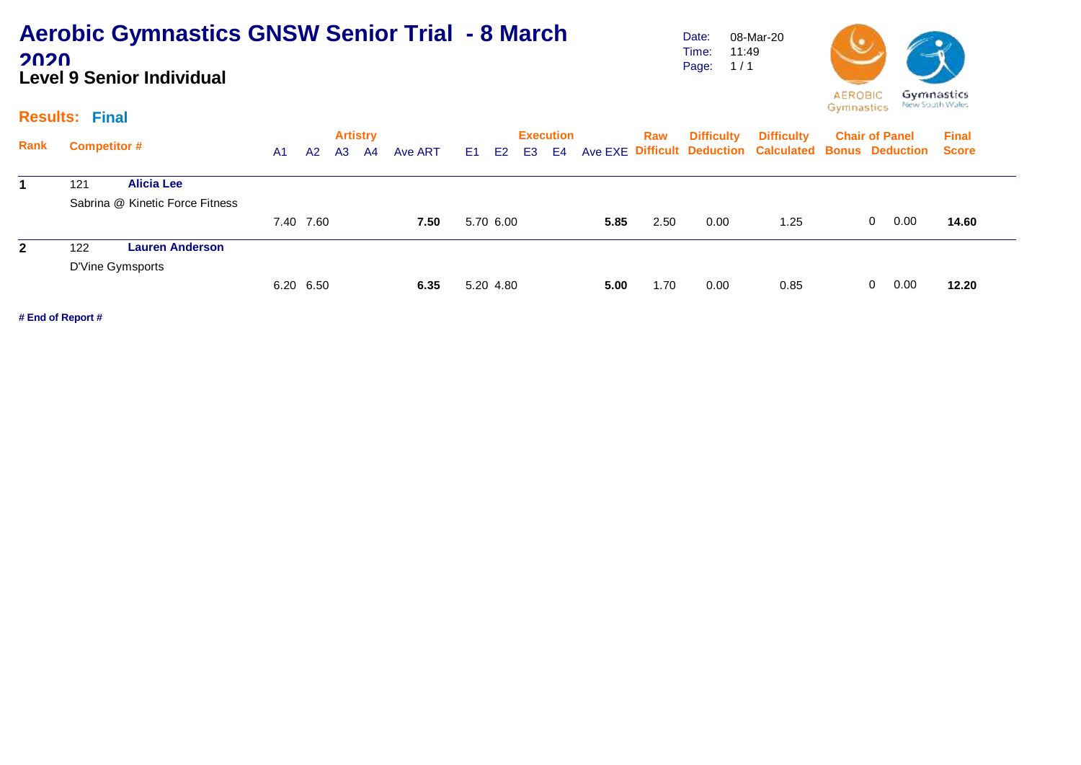### **Aerobic Gymnastics GNSW Senior Trial - 8 March 2020 Level 9 Senior Individual**

Date: Time: Page: 08-Mar-20 11:49  $1/1$ 



#### **Results: Final**

| <b>Rank</b>  | <b>Competitor #</b>             | A1 | A2        | <b>Artistry</b><br>A3 | A4 | Ave ART | E1 E2     | E3 | <b>Execution</b><br>E4 |      | Raw  | <b>Difficulty</b> | <b>Difficulty</b><br>Ave EXE Difficult Deduction Calculated Bonus Deduction Score | <b>Chair of Panel</b> | <b>Final</b> |
|--------------|---------------------------------|----|-----------|-----------------------|----|---------|-----------|----|------------------------|------|------|-------------------|-----------------------------------------------------------------------------------|-----------------------|--------------|
| 1.           | 121<br><b>Alicia Lee</b>        |    |           |                       |    |         |           |    |                        |      |      |                   |                                                                                   |                       |              |
|              | Sabrina @ Kinetic Force Fitness |    |           |                       |    |         |           |    |                        |      |      |                   |                                                                                   |                       |              |
|              |                                 |    | 7.40 7.60 |                       |    | 7.50    | 5.70 6.00 |    |                        | 5.85 | 2.50 | 0.00              | 1.25                                                                              | 0.00<br>$\mathbf{0}$  | 14.60        |
| $\mathbf{2}$ | <b>Lauren Anderson</b><br>122   |    |           |                       |    |         |           |    |                        |      |      |                   |                                                                                   |                       |              |
|              | D'Vine Gymsports                |    |           |                       |    |         |           |    |                        |      |      |                   |                                                                                   |                       |              |
|              |                                 |    | 6.20 6.50 |                       |    | 6.35    | 5.20 4.80 |    |                        | 5.00 | 1.70 | 0.00              | 0.85                                                                              | 0.00<br>$\mathbf{0}$  | 12.20        |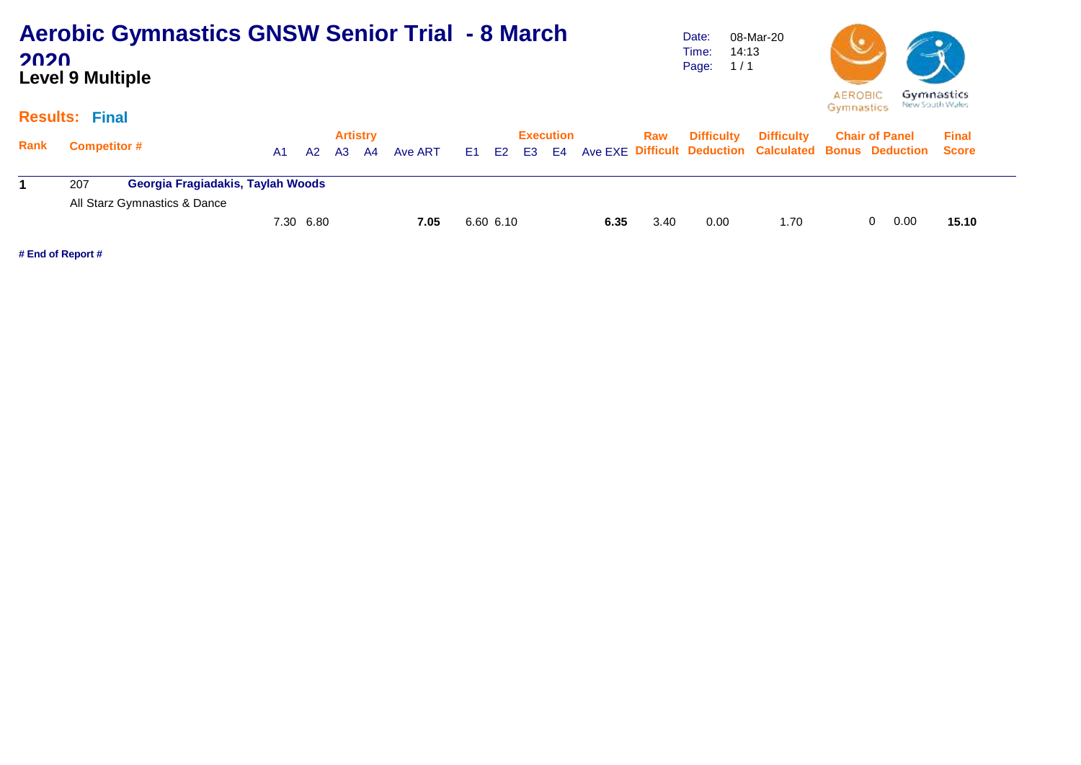| <b>Aerobic Gymnastics GNSW Senior Trial - 8 March</b> |  |
|-------------------------------------------------------|--|
| 2020                                                  |  |
| <b>Level 9 Multiple</b>                               |  |

Date: Time: 14:13 Page: 1 / 1 08-Mar-20



#### **Results: Final**

| Rank | <b>Competitor #</b> |                                   | A1.       | A2 | <b>Artistry</b><br>A3 A4 | Ave ART |           | <b>Execution</b> |      | Raw  | <b>Difficulty</b> | <b>Difficulty</b><br>E1 E2 E3 E4 Ave EXE Difficult Deduction Calculated Bonus Deduction Score | <b>Chair of Panel</b> |    |      | <b>Final</b> |
|------|---------------------|-----------------------------------|-----------|----|--------------------------|---------|-----------|------------------|------|------|-------------------|-----------------------------------------------------------------------------------------------|-----------------------|----|------|--------------|
|      | 207                 | Georgia Fragiadakis, Taylah Woods |           |    |                          |         |           |                  |      |      |                   |                                                                                               |                       |    |      |              |
|      |                     | All Starz Gymnastics & Dance      |           |    |                          |         |           |                  |      |      |                   |                                                                                               |                       |    |      |              |
|      |                     |                                   | 7.30 6.80 |    |                          | 7.05    | 6.60 6.10 |                  | 6.35 | 3.40 | 0.00              | 1.70                                                                                          |                       | 0. | 0.00 | 15.10        |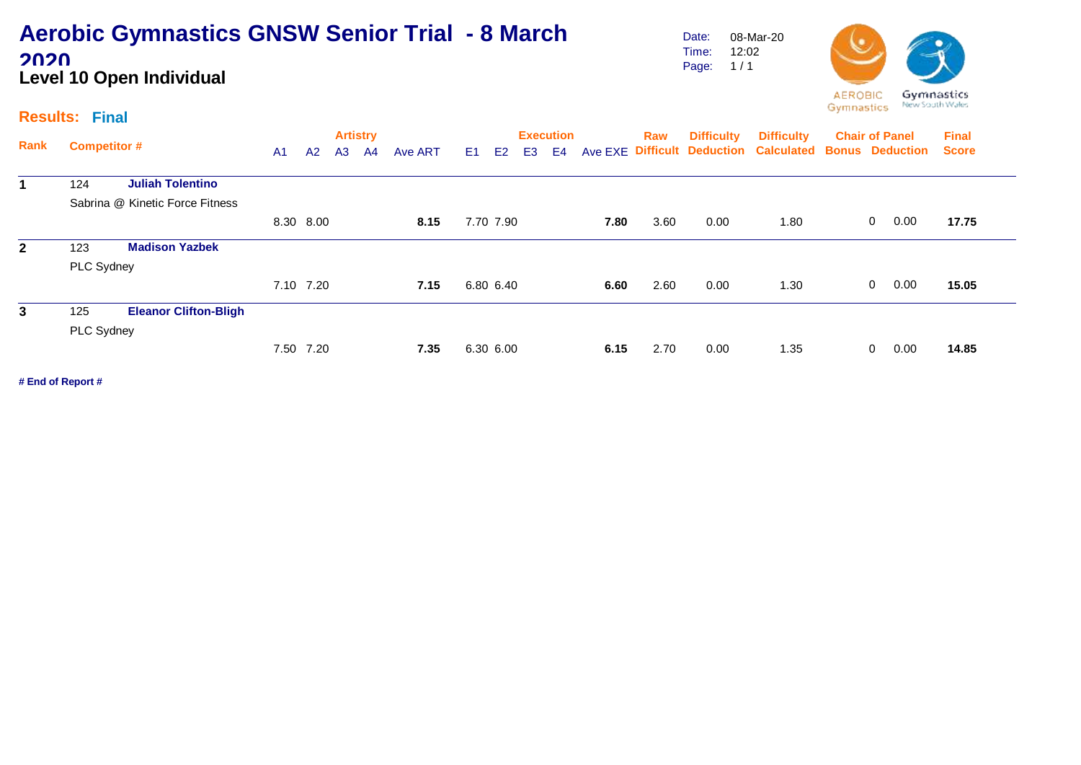## **Aerobic Gymnastics GNSW Senior Trial - 8 March 2020 Level 10 Open Individual**

Date: Time: Page: 1 / 1 08-Mar-20 12:02



#### **Results: Final**

| Rank         |                     |                                 |                |                |                | <b>Artistry</b> |         |    |                |                | <b>Execution</b> |      | Raw  | <b>Difficulty</b> | <b>Difficulty</b>                                      | <b>Chair of Panel</b> |              |      | <b>Final</b> |
|--------------|---------------------|---------------------------------|----------------|----------------|----------------|-----------------|---------|----|----------------|----------------|------------------|------|------|-------------------|--------------------------------------------------------|-----------------------|--------------|------|--------------|
|              | <b>Competitor #</b> |                                 | A <sub>1</sub> | A <sub>2</sub> | A <sub>3</sub> | A4              | Ave ART | E1 | E <sub>2</sub> | E <sub>3</sub> | E <sub>4</sub>   |      |      |                   | Ave EXE Difficult Deduction Calculated Bonus Deduction |                       |              |      | <b>Score</b> |
| 1            | 124                 | <b>Juliah Tolentino</b>         |                |                |                |                 |         |    |                |                |                  |      |      |                   |                                                        |                       |              |      |              |
|              |                     | Sabrina @ Kinetic Force Fitness |                |                |                |                 |         |    |                |                |                  |      |      |                   |                                                        |                       |              |      |              |
|              |                     |                                 | 8.30 8.00      |                |                |                 | 8.15    |    | 7.70 7.90      |                |                  | 7.80 | 3.60 | 0.00              | 1.80                                                   |                       | $\mathbf{0}$ | 0.00 | 17.75        |
| $\mathbf{2}$ | 123                 | <b>Madison Yazbek</b>           |                |                |                |                 |         |    |                |                |                  |      |      |                   |                                                        |                       |              |      |              |
|              | PLC Sydney          |                                 |                |                |                |                 |         |    |                |                |                  |      |      |                   |                                                        |                       |              |      |              |
|              |                     |                                 | 7.10 7.20      |                |                |                 | 7.15    |    | 6.80 6.40      |                |                  | 6.60 | 2.60 | 0.00              | 1.30                                                   |                       | $\mathbf 0$  | 0.00 | 15.05        |
| 3            | 125                 | <b>Eleanor Clifton-Bligh</b>    |                |                |                |                 |         |    |                |                |                  |      |      |                   |                                                        |                       |              |      |              |
|              | PLC Sydney          |                                 |                |                |                |                 |         |    |                |                |                  |      |      |                   |                                                        |                       |              |      |              |
|              |                     |                                 |                | 7.50 7.20      |                |                 | 7.35    |    | 6.30 6.00      |                |                  | 6.15 | 2.70 | 0.00              | 1.35                                                   |                       | 0            | 0.00 | 14.85        |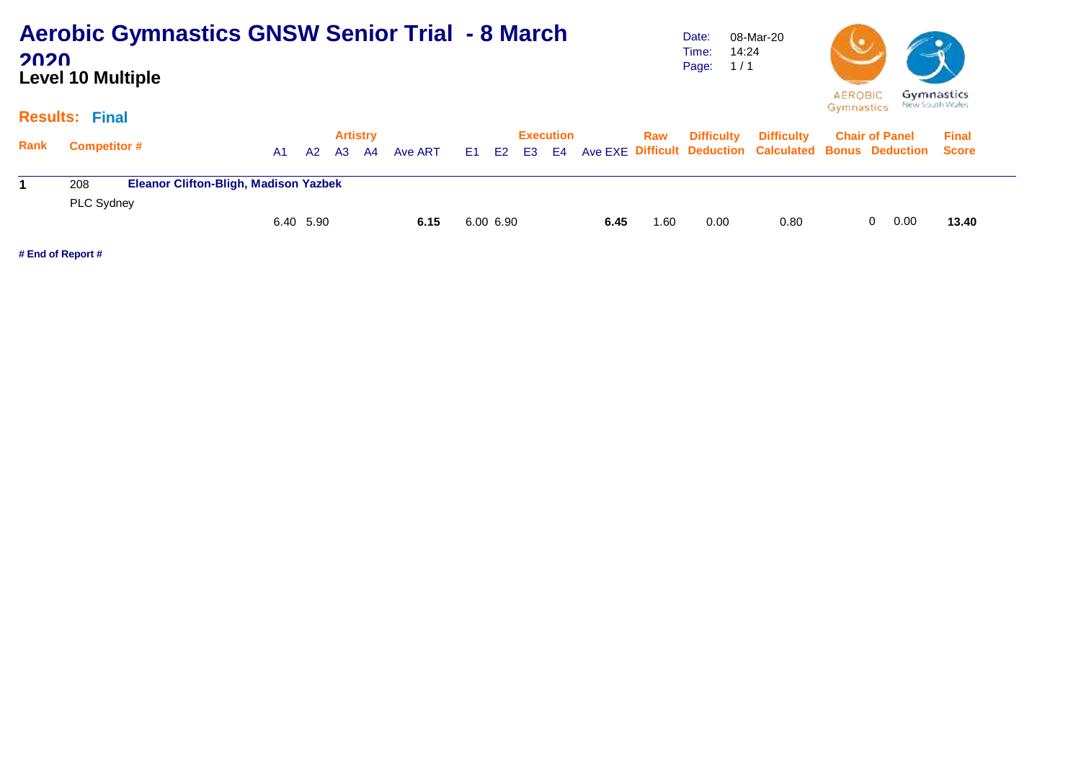| <b>Aerobic Gymnastics GNSW Senior Trial - 8 March</b> |  |
|-------------------------------------------------------|--|
| 2020                                                  |  |
| <b>Level 10 Multiple</b>                              |  |

Date: Time: 14:24 Page: 1 / 1 08-Mar-20



#### **Results: Final**

| Rank | <b>Competitor #</b> |                                              | A1.       | A2 | <b>Artistry</b><br>A3 A4 | Ave ART |           | <b>Execution</b> |      | Raw  | <b>Difficulty</b> | <b>Difficulty</b><br>E1 E2 E3 E4 Ave EXE Difficult Deduction Calculated Bonus Deduction Score | <b>Chair of Panel</b> |    |      | <b>Final</b> |
|------|---------------------|----------------------------------------------|-----------|----|--------------------------|---------|-----------|------------------|------|------|-------------------|-----------------------------------------------------------------------------------------------|-----------------------|----|------|--------------|
|      | 208                 | <b>Eleanor Clifton-Bligh, Madison Yazbek</b> |           |    |                          |         |           |                  |      |      |                   |                                                                                               |                       |    |      |              |
|      | PLC Sydney          |                                              |           |    |                          |         |           |                  |      |      |                   |                                                                                               |                       |    |      |              |
|      |                     |                                              | 6.40 5.90 |    |                          | 6.15    | 6.00 6.90 |                  | 6.45 | 1.60 | 0.00              | 0.80                                                                                          |                       | 0. | 0.00 | 13.40        |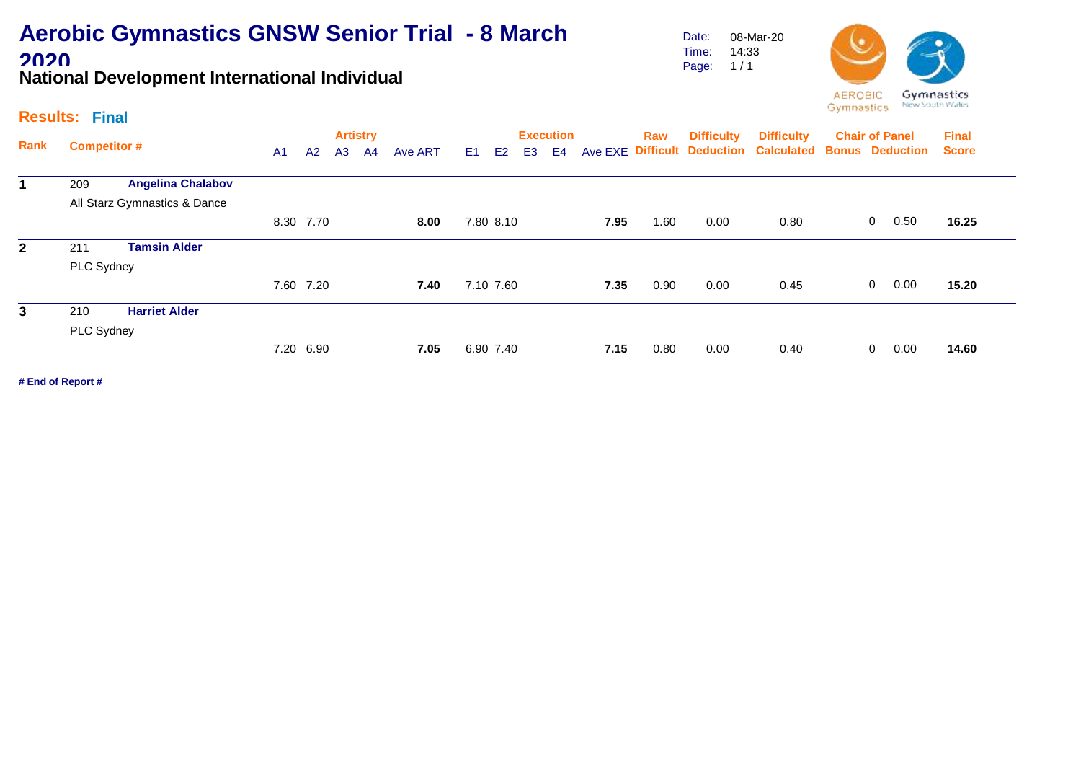# **Aerobic Gymnastics GNSW Senior Trial - 8 March 2020**

**National Development International Individual**

### **Results: Final**

| Rank         | <b>Competitor #</b> |                              |           |                |                | <b>Artistry</b> |         |                |           |                | <b>Execution</b> |      | Raw  | <b>Difficulty</b> | <b>Difficulty</b>                      | <b>Chair of Panel</b>  |                |      | <b>Final</b> |
|--------------|---------------------|------------------------------|-----------|----------------|----------------|-----------------|---------|----------------|-----------|----------------|------------------|------|------|-------------------|----------------------------------------|------------------------|----------------|------|--------------|
|              |                     |                              | A1        | A <sup>2</sup> | A <sub>3</sub> | A <sup>4</sup>  | Ave ART | E <sub>1</sub> | E2        | E <sub>3</sub> | E4               |      |      |                   | Ave EXE Difficult Deduction Calculated | <b>Bonus Deduction</b> |                |      | <b>Score</b> |
| 1            | 209                 | <b>Angelina Chalabov</b>     |           |                |                |                 |         |                |           |                |                  |      |      |                   |                                        |                        |                |      |              |
|              |                     | All Starz Gymnastics & Dance |           |                |                |                 |         |                |           |                |                  |      |      |                   |                                        |                        |                |      |              |
|              |                     |                              | 8.30 7.70 |                |                |                 | 8.00    |                | 7.80 8.10 |                |                  | 7.95 | 1.60 | 0.00              | 0.80                                   |                        | $\mathbf{0}$   | 0.50 | 16.25        |
| $\mathbf{2}$ | 211                 | <b>Tamsin Alder</b>          |           |                |                |                 |         |                |           |                |                  |      |      |                   |                                        |                        |                |      |              |
|              | PLC Sydney          |                              |           |                |                |                 |         |                |           |                |                  |      |      |                   |                                        |                        |                |      |              |
|              |                     |                              | 7.60 7.20 |                |                |                 | 7.40    |                | 7.10 7.60 |                |                  | 7.35 | 0.90 | 0.00              | 0.45                                   |                        | $\overline{0}$ | 0.00 | 15.20        |
| 3            | 210                 | <b>Harriet Alder</b>         |           |                |                |                 |         |                |           |                |                  |      |      |                   |                                        |                        |                |      |              |
|              | PLC Sydney          |                              |           |                |                |                 |         |                |           |                |                  |      |      |                   |                                        |                        |                |      |              |
|              |                     |                              | 7.20 6.90 |                |                |                 | 7.05    |                | 6.90 7.40 |                |                  | 7.15 | 0.80 | 0.00              | 0.40                                   |                        | $\Omega$       | 0.00 | 14.60        |

**# End of Report #**

Date: Time: Page: 1 / 1 08-Mar-20 14:33

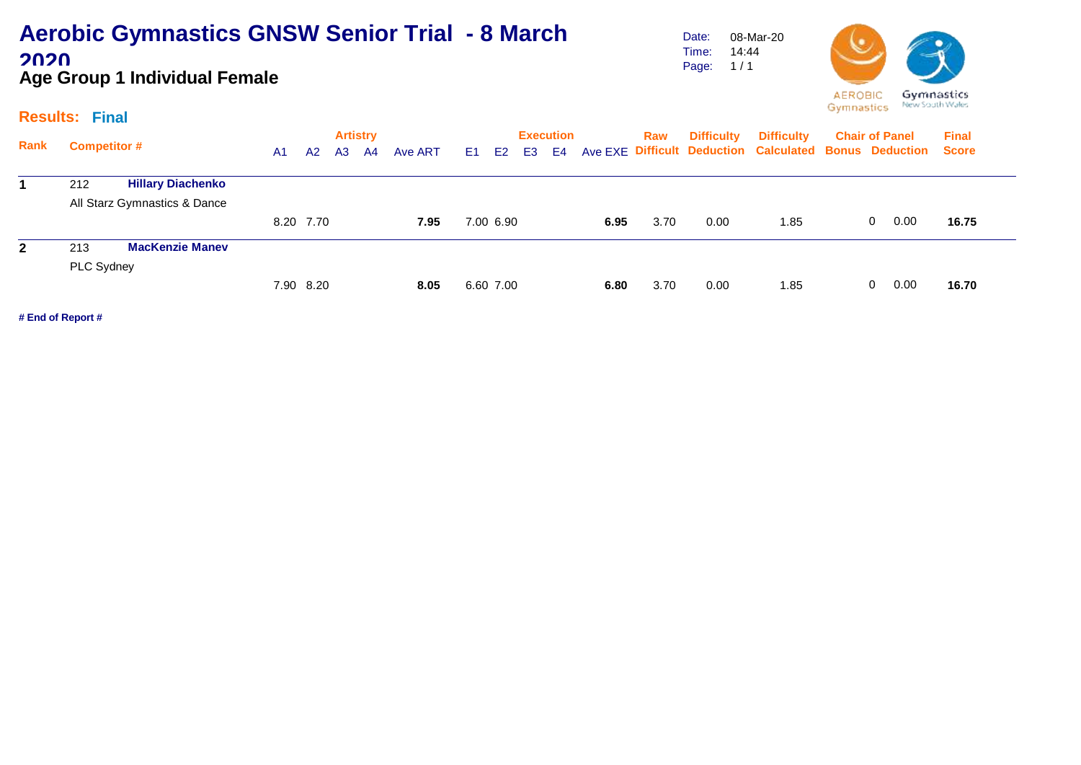### **Aerobic Gymnastics GNSW Senior Trial - 8 March 2020 Age Group 1 Individual Female**

Date: Time: Page: 08-Mar-20 14:44  $1/1$ 



#### **Results: Final**

|              |                                 |                |           | <b>Artistry</b> |    |         |                |                |    | <b>Execution</b> |      | Raw  | <b>Difficulty</b> | <b>Difficulty</b>                                            | <b>Chair of Panel</b> | <b>Final</b> |
|--------------|---------------------------------|----------------|-----------|-----------------|----|---------|----------------|----------------|----|------------------|------|------|-------------------|--------------------------------------------------------------|-----------------------|--------------|
| Rank         | <b>Competitor #</b>             | A <sub>1</sub> | A2        | A <sub>3</sub>  | A4 | Ave ART | E <sub>1</sub> | E <sub>2</sub> | E3 | E4               |      |      |                   | Ave EXE Difficult Deduction Calculated Bonus Deduction Score |                       |              |
|              | 212<br><b>Hillary Diachenko</b> |                |           |                 |    |         |                |                |    |                  |      |      |                   |                                                              |                       |              |
|              | All Starz Gymnastics & Dance    |                |           |                 |    |         |                |                |    |                  |      |      |                   |                                                              |                       |              |
|              |                                 |                | 8.20 7.70 |                 |    | 7.95    |                | 7.00 6.90      |    |                  | 6.95 | 3.70 | 0.00              | 1.85                                                         | 0.00<br>$\mathbf{0}$  | 16.75        |
| $\mathbf{2}$ | <b>MacKenzie Manev</b><br>213   |                |           |                 |    |         |                |                |    |                  |      |      |                   |                                                              |                       |              |
|              | PLC Sydney                      |                |           |                 |    |         |                |                |    |                  |      |      |                   |                                                              |                       |              |
|              |                                 |                | 7.90 8.20 |                 |    | 8.05    |                | 6.60 7.00      |    |                  | 6.80 | 3.70 | 0.00              | 1.85                                                         | 0.00<br>$\mathbf{0}$  | 16.70        |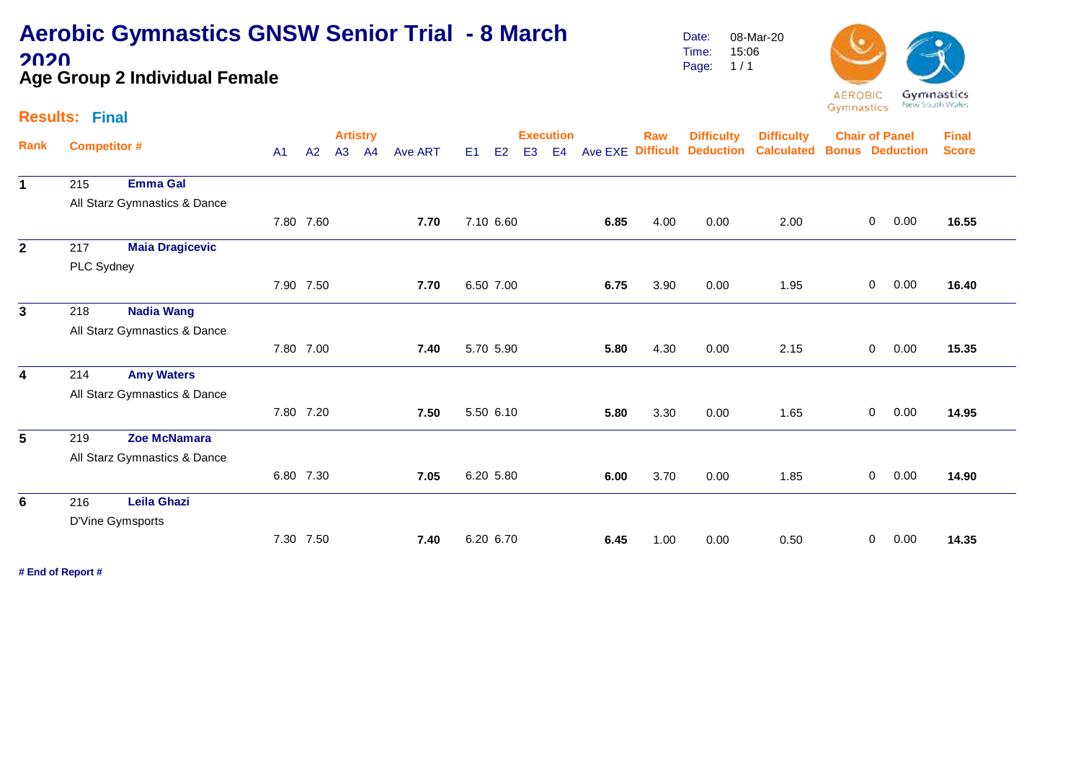### **Aerobic Gymnastics GNSW Senior Trial - 8 March 2020 Age Group 2 Individual Female**

Date: Time: Page: 08-Mar-20 15:06  $1/1$ 



#### **Results: Final**

|                |                     |                              |                |    | <b>Artistry</b> |                |                |                |           |                | <b>Execution</b> |         | <b>Raw</b> | <b>Difficulty</b>          | <b>Difficulty</b> | <b>Chair of Panel</b> |              |                        | <b>Final</b> |
|----------------|---------------------|------------------------------|----------------|----|-----------------|----------------|----------------|----------------|-----------|----------------|------------------|---------|------------|----------------------------|-------------------|-----------------------|--------------|------------------------|--------------|
| Rank           | <b>Competitor #</b> |                              | A <sub>1</sub> | A2 | A <sub>3</sub>  | A <sub>4</sub> | <b>Ave ART</b> | E <sub>1</sub> | E2        | E <sub>3</sub> | E4               | Ave EXE |            | <b>Difficult Deduction</b> | <b>Calculated</b> |                       |              | <b>Bonus Deduction</b> | <b>Score</b> |
| $\mathbf 1$    | 215                 | <b>Emma Gal</b>              |                |    |                 |                |                |                |           |                |                  |         |            |                            |                   |                       |              |                        |              |
|                |                     | All Starz Gymnastics & Dance |                |    |                 |                |                |                |           |                |                  |         |            |                            |                   |                       |              |                        |              |
|                |                     |                              | 7.80 7.60      |    |                 |                | 7.70           |                | 7.10 6.60 |                |                  | 6.85    | 4.00       | 0.00                       | 2.00              |                       | $\mathbf 0$  | 0.00                   | 16.55        |
| $\mathbf{2}$   | 217                 | <b>Maia Dragicevic</b>       |                |    |                 |                |                |                |           |                |                  |         |            |                            |                   |                       |              |                        |              |
|                | PLC Sydney          |                              |                |    |                 |                |                |                |           |                |                  |         |            |                            |                   |                       |              |                        |              |
|                |                     |                              | 7.90 7.50      |    |                 |                | 7.70           |                | 6.50 7.00 |                |                  | 6.75    | 3.90       | 0.00                       | 1.95              |                       | 0            | 0.00                   | 16.40        |
| 3 <sup>1</sup> | 218                 | <b>Nadia Wang</b>            |                |    |                 |                |                |                |           |                |                  |         |            |                            |                   |                       |              |                        |              |
|                |                     | All Starz Gymnastics & Dance |                |    |                 |                |                |                |           |                |                  |         |            |                            |                   |                       |              |                        |              |
|                |                     |                              | 7.80 7.00      |    |                 |                | 7.40           |                | 5.70 5.90 |                |                  | 5.80    | 4.30       | 0.00                       | 2.15              |                       | $\mathbf 0$  | 0.00                   | 15.35        |
| 4              | 214                 | <b>Amy Waters</b>            |                |    |                 |                |                |                |           |                |                  |         |            |                            |                   |                       |              |                        |              |
|                |                     | All Starz Gymnastics & Dance |                |    |                 |                |                |                |           |                |                  |         |            |                            |                   |                       |              |                        |              |
|                |                     |                              | 7.80 7.20      |    |                 |                | 7.50           |                | 5.50 6.10 |                |                  | 5.80    | 3.30       | 0.00                       | 1.65              |                       | $\mathbf 0$  | 0.00                   | 14.95        |
| 5              | 219                 | Zoe McNamara                 |                |    |                 |                |                |                |           |                |                  |         |            |                            |                   |                       |              |                        |              |
|                |                     | All Starz Gymnastics & Dance |                |    |                 |                |                |                |           |                |                  |         |            |                            |                   |                       |              |                        |              |
|                |                     |                              | 6.80 7.30      |    |                 |                | 7.05           |                | 6.20 5.80 |                |                  | 6.00    | 3.70       | 0.00                       | 1.85              |                       | $\mathbf 0$  | 0.00                   | 14.90        |
| 6              | 216                 | <b>Leila Ghazi</b>           |                |    |                 |                |                |                |           |                |                  |         |            |                            |                   |                       |              |                        |              |
|                |                     | D'Vine Gymsports             |                |    |                 |                |                |                |           |                |                  |         |            |                            |                   |                       |              |                        |              |
|                |                     |                              | 7.30 7.50      |    |                 |                | 7.40           |                | 6.20 6.70 |                |                  | 6.45    | 1.00       | 0.00                       | 0.50              |                       | $\mathbf{0}$ | 0.00                   | 14.35        |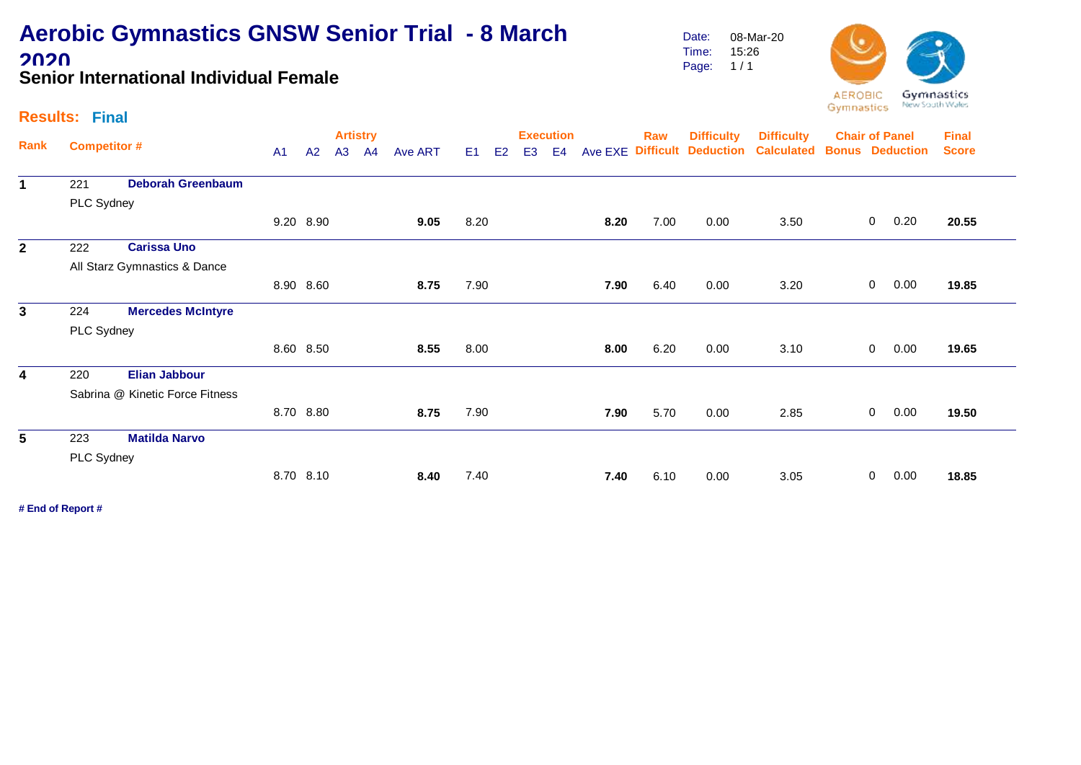### **Aerobic Gymnastics GNSW Senior Trial - 8 March 2020 Senior International Individual Female**

Date: Time: Page: 08-Mar-20 15:26  $1/1$ 



### **Results: Final**

|              |                     |                                 |                |           |    | <b>Artistry</b> |                |                |    |                | <b>Execution</b> |         | <b>Raw</b>       | <b>Difficulty</b> | <b>Difficulty</b> |                | <b>Chair of Panel</b>                | <b>Final</b> |
|--------------|---------------------|---------------------------------|----------------|-----------|----|-----------------|----------------|----------------|----|----------------|------------------|---------|------------------|-------------------|-------------------|----------------|--------------------------------------|--------------|
| Rank         | <b>Competitor #</b> |                                 | A <sub>1</sub> | A2        | A3 | A4              | <b>Ave ART</b> | E <sub>1</sub> | E2 | E <sub>3</sub> | E4               | Ave EXE | <b>Difficult</b> | <b>Deduction</b>  | <b>Calculated</b> |                | <b>Bonus Deduction</b>               | <b>Score</b> |
| $\mathbf 1$  | 221                 | <b>Deborah Greenbaum</b>        |                |           |    |                 |                |                |    |                |                  |         |                  |                   |                   |                |                                      |              |
|              | PLC Sydney          |                                 |                |           |    |                 |                |                |    |                |                  |         |                  |                   |                   |                | 0.20<br>0.00<br>0.00<br>0.00<br>0.00 |              |
|              |                     |                                 |                | 9.20 8.90 |    |                 | 9.05           | 8.20           |    |                |                  | 8.20    | 7.00             | 0.00              | 3.50              | 0              |                                      | 20.55        |
| $\mathbf{2}$ | 222                 | <b>Carissa Uno</b>              |                |           |    |                 |                |                |    |                |                  |         |                  |                   |                   |                |                                      |              |
|              |                     | All Starz Gymnastics & Dance    |                |           |    |                 |                |                |    |                |                  |         |                  |                   |                   |                |                                      |              |
|              |                     |                                 |                | 8.90 8.60 |    |                 | 8.75           | 7.90           |    |                |                  | 7.90    | 6.40             | 0.00              | 3.20              | $\overline{0}$ |                                      | 19.85        |
| $\mathbf{3}$ | 224                 | <b>Mercedes McIntyre</b>        |                |           |    |                 |                |                |    |                |                  |         |                  |                   |                   |                |                                      |              |
|              | PLC Sydney          |                                 |                |           |    |                 |                |                |    |                |                  |         |                  |                   |                   |                |                                      |              |
|              |                     |                                 |                | 8.60 8.50 |    |                 | 8.55           | 8.00           |    |                |                  | 8.00    | 6.20             | 0.00              | 3.10              | 0              |                                      | 19.65        |
| 4            | 220                 | <b>Elian Jabbour</b>            |                |           |    |                 |                |                |    |                |                  |         |                  |                   |                   |                |                                      |              |
|              |                     | Sabrina @ Kinetic Force Fitness |                |           |    |                 |                |                |    |                |                  |         |                  |                   |                   |                |                                      |              |
|              |                     |                                 |                | 8.70 8.80 |    |                 | 8.75           | 7.90           |    |                |                  | 7.90    | 5.70             | 0.00              | 2.85              | 0              |                                      | 19.50        |
| 5            | 223                 | <b>Matilda Narvo</b>            |                |           |    |                 |                |                |    |                |                  |         |                  |                   |                   |                |                                      |              |
|              | PLC Sydney          |                                 |                |           |    |                 |                |                |    |                |                  |         |                  |                   |                   |                |                                      |              |
|              |                     |                                 |                | 8.70 8.10 |    |                 | 8.40           | 7.40           |    |                |                  | 7.40    | 6.10             | 0.00              | 3.05              | 0              |                                      | 18.85        |